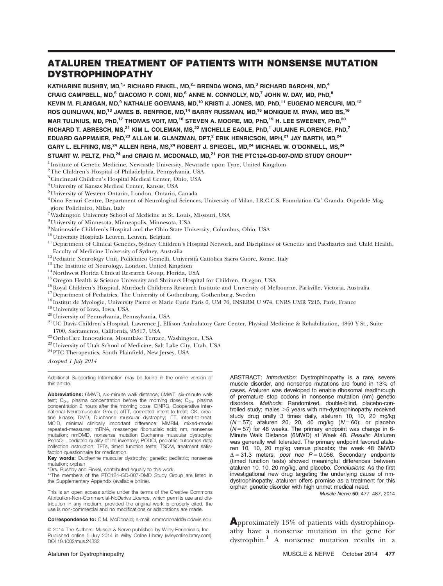## ATALUREN TREATMENT OF PATIENTS WITH NONSENSE MUTATION DYSTROPHINOPATHY

KATHARINE BUSHBY, MD,<sup>1</sup>\* RICHARD FINKEL, MD,<sup>2</sup>\* BRENDA WONG, MD,<sup>3</sup> RICHARD BAROHN, MD,<sup>4</sup> CRAIG CAMPBELL, MD,<sup>5</sup> GIACOMO P. COMI, MD,<sup>6</sup> ANNE M. CONNOLLY, MD,<sup>7</sup> JOHN W. DAY, MD, PhD,<sup>8</sup> KEVIN M. FLANIGAN, MD,<sup>9</sup> NATHALIE GOEMANS, MD,<sup>10</sup> KRISTI J. JONES, MD, PhD,<sup>11</sup> EUGENIO MERCURI, MD,<sup>12</sup> ROS QUINLIVAN, MD,<sup>13</sup> JAMES B. RENFROE, MD,<sup>14</sup> BARRY RUSSMAN, MD,<sup>15</sup> MONIQUE M. RYAN, MED BS,<sup>16</sup> MAR TULINIUS, MD, PhD,<sup>17</sup> THOMAS VOIT, MD,<sup>18</sup> STEVEN A. MOORE, MD, PhD,<sup>19</sup> H. LEE SWEENEY, PhD,<sup>20</sup> RICHARD T. ABRESCH, MS, $^{21}$  KIM L. COLEMAN, MS, $^{22}$  MICHELLE EAGLE, PhD,<sup>1</sup> JULAINE FLORENCE, PhD,<sup>7</sup> EDUARD GAPPMAIER, PhD,<sup>23</sup> ALLAN M. GLANZMAN, DPT,<sup>2</sup> ERIK HENRICSON, MPH,<sup>21</sup> JAY BARTH, MD,<sup>24</sup> GARY L. ELFRING, MS, $^{24}$  ALLEN REHA, MS, $^{24}$  ROBERT J. SPIEGEL, MD, $^{24}$  MICHAEL W. O'DONNELL, MS, $^{24}$ STUART W. PELTZ, PhD, $^{24}$  and CRAIG M. MCDONALD, MD, $^{21}$  FOR THE PTC124-GD-007-DMD STUDY GROUP\*\*

<sup>1</sup> Institute of Genetic Medicine, Newcastle University, Newcastle upon Tyne, United Kingdom

- ${\rm ^2The}$  Children's Hospital of Philadelphia, Pennsylvania, USA
- $^3$ Cincinnati Children's Hospital Medical Center, Ohio, USA
- 4University of Kansas Medical Center, Kansas, USA
- 5University of Western Ontario, London, Ontario, Canada
- <sup>6</sup>Dino Ferrari Centre, Department of Neurological Sciences, University of Milan, I.R.C.C.S. Foundation Ca' Granda, Ospedale Maggiore Policlinico, Milan, Italy
- 7Washington University School of Medicine at St. Louis, Missouri, USA
- 8University of Minnesota, Minneapolis, Minnesota, USA
- $^9$ Nationwide Children's Hospital and the Ohio State University, Columbus, Ohio, USA $^{10}$ University Hospitals Leuven, Leuven, Belgium
- 
- <sup>11</sup> Department of Clinical Genetics, Sydney Children's Hospital Network, and Disciplines of Genetics and Paediatrics and Child Health,
- 
- 
- 
- 
- 
- 
- 
- 
- 
- Faculty of Medicine University of Sydney, Australia<br>
<sup>12</sup> Pediatric Neurology Unit, Polilcinico Gemelli, Università Cattolica Sacro Cuore, Rome, Italy<br>
<sup>12</sup> The Institute of Neurology, London, United Kingdom<br>
<sup>14</sup> Northwes
- 
- <sup>22</sup> OrthoCare Innovations, Mountlake Terrace, Washington, USA  $^{23}$  University of Utah School of Medicine, Salt Lake City, Utah, USA  $^{24}$ PTC Therapeutics, South Plainfield, New Jersey, USA
- 

Accepted 1 July 2014

Additional Supporting Information may be found in the online version of this article.

Abbreviations: 6MWD, six-minute walk distance; 6MWT, six-minute walk test;  $C_{0h}$ , plasma concentration before the morning dose;  $C_{2h}$ , plasma concentration 2 hours after the morning dose; CINRG, Cooperative International Neuromuscular Group; cITT, corrected intent-to-treat; CK, creatine kinase; DMD, Duchenne muscular dystrophy; ITT, intent-to-treat; MCID, minimal clinically important difference; MMRM, mixed-model repeated-measures; mRNA, messenger ribonucleic acid; nm, nonsense mutation; nmDMD, nonsense mutation Duchenne muscular dystrophy; PedsQL, pediatric quality of life inventory; PODCI, pediatric outcomes data collection instruction; TFTs, timed function tests; TSQM, treatment satisfaction questionnaire for medication.

Key words: Duchenne muscular dystrophy; genetic; pediatric; nonsense mutation; orphan

\*Drs. Bushby and Finkel, contributed equally to this work.

\*\*The members of the PTC124-GD-007-DMD Study Group are listed in the Supplementary Appendix (available online).

This is an open access article under the terms of the Creative Commons Attribution-Non-Commercial-NoDerivs Licence, which permits use and distribution in any medium, provided the original work is properly cited, the use is non-commercial and no modifications or adaptations are made.

Correspondence to: C.M. McDonald; e-mail: cmmcdonald@ucdavis.edu

 $\odot$  2014 The Authors. Muscle & Nerve published by Wiley Periodicals, Inc. Published online 5 July 2014 in Wiley Online Library (wileyonlinelibrary.com). DOI 10.1002/mus.24332

ABSTRACT: Introduction: Dystrophinopathy is a rare, severe muscle disorder, and nonsense mutations are found in 13% of cases. Ataluren was developed to enable ribosomal readthrough of premature stop codons in nonsense mutation (nm) genetic disorders. Methods: Randomized, double-blind, placebo-controlled study; males  $\geq$ 5 years with nm-dystrophinopathy received study drug orally 3 times daily, ataluren 10, 10, 20 mg/kg  $(N = 57)$ ; ataluren 20, 20, 40 mg/kg  $(N = 60)$ ; or placebo  $(N = 57)$  for 48 weeks. The primary endpoint was change in 6-Minute Walk Distance (6MWD) at Week 48. Results: Ataluren was generally well tolerated. The primary endpoint favored ataluren 10, 10, 20 mg/kg versus placebo; the week 48 6MWD  $\Delta = 31.3$  meters, post hoc P = 0.056. Secondary endpoints (timed function tests) showed meaningful differences between ataluren 10, 10, 20 mg/kg, and placebo. Conclusions: As the first investigational new drug targeting the underlying cause of nmdystrophinopathy, ataluren offers promise as a treatment for this orphan genetic disorder with high unmet medical need.

Muscle Nerve 50: 477–487, 2014

Approximately 13% of patients with dystrophinopathy have a nonsense mutation in the gene for  $dystrophin.<sup>1</sup>$  A nonsense mutation results in a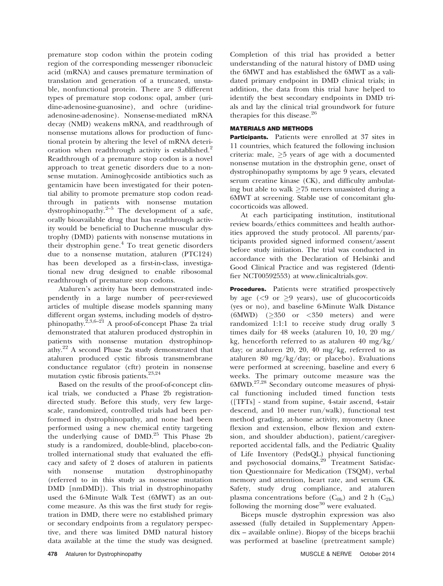premature stop codon within the protein coding region of the corresponding messenger ribonucleic acid (mRNA) and causes premature termination of translation and generation of a truncated, unstable, nonfunctional protein. There are 3 different types of premature stop codons: opal, amber (uridine-adenosine-guanosine), and ochre (uridineadenosine-adenosine). Nonsense-mediated mRNA decay (NMD) weakens mRNA, and readthrough of nonsense mutations allows for production of functional protein by altering the level of mRNA deterioration when readthrough activity is established.<sup>2</sup> Readthrough of a premature stop codon is a novel approach to treat genetic disorders due to a nonsense mutation. Aminoglycoside antibiotics such as gentamicin have been investigated for their potential ability to promote premature stop codon readthrough in patients with nonsense mutation dystrophinopathy.2–5 The development of a safe, orally bioavailable drug that has readthrough activity would be beneficial to Duchenne muscular dystrophy (DMD) patients with nonsense mutations in their dystrophin gene.<sup>4</sup> To treat genetic disorders due to a nonsense mutation, ataluren (PTC124) has been developed as a first-in-class, investigational new drug designed to enable ribosomal readthrough of premature stop codons.

Ataluren's activity has been demonstrated independently in a large number of peer-reviewed articles of multiple disease models spanning many different organ systems, including models of dystrophinopathy.<sup>2,3,6–21</sup> A proof-of-concept Phase 2a trial demonstrated that ataluren produced dystrophin in patients with nonsense mutation dystrophinopathy.22 A second Phase 2a study demonstrated that ataluren produced cystic fibrosis transmembrane conductance regulator (cftr) protein in nonsense mutation cystic fibrosis patients.<sup>23,24</sup>

Based on the results of the proof-of-concept clinical trials, we conducted a Phase 2b registrationdirected study. Before this study, very few largescale, randomized, controlled trials had been performed in dystrophinopathy, and none had been performed using a new chemical entity targeting the underlying cause of DMD.<sup>25</sup> This Phase 2b study is a randomized, double-blind, placebo-controlled international study that evaluated the efficacy and safety of 2 doses of ataluren in patients with nonsense mutation dystrophinopathy (referred to in this study as nonsense mutation DMD [nmDMD]). This trial in dystrophinopathy used the 6-Minute Walk Test (6MWT) as an outcome measure. As this was the first study for registration in DMD, there were no established primary or secondary endpoints from a regulatory perspective, and there was limited DMD natural history data available at the time the study was designed.

Completion of this trial has provided a better understanding of the natural history of DMD using the 6MWT and has established the 6MWT as a validated primary endpoint in DMD clinical trials; in addition, the data from this trial have helped to identify the best secondary endpoints in DMD trials and lay the clinical trial groundwork for future therapies for this disease. $26$ 

#### MATERIALS AND METHODS

Participants. Patients were enrolled at 37 sites in 11 countries, which featured the following inclusion criteria: male,  $\geq$ 5 years of age with a documented nonsense mutation in the dystrophin gene, onset of dystrophinopathy symptoms by age 9 years, elevated serum creatine kinase (CK), and difficulty ambulating but able to walk  $>75$  meters unassisted during a 6MWT at screening. Stable use of concomitant glucocorticoids was allowed.

At each participating institution, institutional review boards/ethics committees and health authorities approved the study protocol. All parents/participants provided signed informed consent/assent before study initiation. The trial was conducted in accordance with the Declaration of Helsinki and Good Clinical Practice and was registered (Identifier NCT00592553) at www.clinicaltrials.gov.

Procedures. Patients were stratified prospectively by age ( $\leq 9$  or  $\geq 9$  years), use of glucocorticoids (yes or no), and baseline 6-Minute Walk Distance (6MWD)  $( \geq 350$  or  $< 350$  meters) and were randomized 1:1:1 to receive study drug orally 3 times daily for 48 weeks (ataluren 10, 10, 20 mg/ kg, henceforth referred to as ataluren 40 mg/kg/ day; or ataluren 20, 20, 40 mg/kg, referred to as ataluren 80 mg/kg/day; or placebo). Evaluations were performed at screening, baseline and every 6 weeks. The primary outcome measure was the  $6MWD$ <sup>27,28</sup> Secondary outcome measures of physical functioning included timed function tests ([TFTs] - stand from supine, 4-stair ascend, 4-stair descend, and 10 meter run/walk), functional test method grading, at-home activity, myometry (knee flexion and extension, elbow flexion and extension, and shoulder abduction), patient/caregiverreported accidental falls, and the Pediatric Quality of Life Inventory (PedsQL) physical functioning and psychosocial domains,<sup>29</sup> Treatment Satisfaction Questionnaire for Medication (TSQM), verbal memory and attention, heart rate, and serum CK. Safety, study drug compliance, and ataluren plasma concentrations before  $(C_{0h})$  and 2 h  $(C_{2h})$ following the morning dose $30$  were evaluated.

Biceps muscle dystrophin expression was also assessed (fully detailed in Supplementary Appendix – available online). Biopsy of the biceps brachii was performed at baseline (pretreatment sample)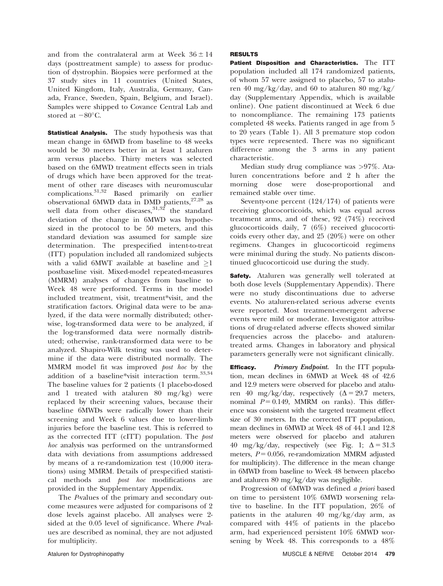and from the contralateral arm at Week  $36 \pm 14$ days (posttreatment sample) to assess for production of dystrophin. Biopsies were performed at the 37 study sites in 11 countries (United States, United Kingdom, Italy, Australia, Germany, Canada, France, Sweden, Spain, Belgium, and Israel). Samples were shipped to Covance Central Lab and stored at  $-80^{\circ}$ C.

**Statistical Analysis.** The study hypothesis was that mean change in 6MWD from baseline to 48 weeks would be 30 meters better in at least 1 ataluren arm versus placebo. Thirty meters was selected based on the 6MWD treatment effects seen in trials of drugs which have been approved for the treatment of other rare diseases with neuromuscular complications.31,32 Based primarily on earlier observational 6MWD data in DMD patients,  $27,28$  as well data from other diseases,  $31,32$  the standard deviation of the change in 6MWD was hypothesized in the protocol to be 50 meters, and this standard deviation was assumed for sample size determination. The prespecified intent-to-treat (ITT) population included all randomized subjects with a valid 6MWT available at baseline and  $\geq$ 1 postbaseline visit. Mixed-model repeated-measures (MMRM) analyses of changes from baseline to Week 48 were performed. Terms in the model included treatment, visit, treatment\*visit, and the stratification factors. Original data were to be analyzed, if the data were normally distributed; otherwise, log-transformed data were to be analyzed, if the log-transformed data were normally distributed; otherwise, rank-transformed data were to be analyzed. Shapiro-Wilk testing was used to determine if the data were distributed normally. The MMRM model fit was improved *post hoc* by the addition of a baseline\*visit interaction term.33,34 The baseline values for 2 patients (1 placebo-dosed and 1 treated with ataluren 80 mg/kg) were replaced by their screening values, because their baseline 6MWDs were radically lower than their screening and Week 6 values due to lower-limb injuries before the baseline test. This is referred to as the corrected ITT (cITT) population. The post hoc analysis was performed on the untransformed data with deviations from assumptions addressed by means of a re-randomization test (10,000 iterations) using MMRM. Details of prespecified statistical methods and *post hoc* modifications are provided in the Supplementary Appendix.

The P-values of the primary and secondary outcome measures were adjusted for comparisons of 2 dose levels against placebo. All analyses were 2 sided at the 0.05 level of significance. Where P-values are described as nominal, they are not adjusted for multiplicity.

#### RESULTS

Patient Disposition and Characteristics. The ITT population included all 174 randomized patients, of whom 57 were assigned to placebo, 57 to ataluren 40 mg/kg/day, and 60 to ataluren 80 mg/kg/ day (Supplementary Appendix, which is available online). One patient discontinued at Week 6 due to noncompliance. The remaining 173 patients completed 48 weeks. Patients ranged in age from 5 to 20 years (Table 1). All 3 premature stop codon types were represented. There was no significant difference among the 3 arms in any patient characteristic.

Median study drug compliance was >97%. Ataluren concentrations before and 2 h after the morning dose were dose-proportional and remained stable over time.

Seventy-one percent (124/174) of patients were receiving glucocorticoids, which was equal across treatment arms, and of these, 92 (74%) received glucocorticoids daily, 7 (6%) received glucocorticoids every other day, and 25 (20%) were on other regimens. Changes in glucocorticoid regimens were minimal during the study. No patients discontinued glucocorticoid use during the study.

**Safety.** Ataluren was generally well tolerated at both dose levels (Supplementary Appendix). There were no study discontinuations due to adverse events. No ataluren-related serious adverse events were reported. Most treatment-emergent adverse events were mild or moderate. Investigator attributions of drug-related adverse effects showed similar frequencies across the placebo- and atalurentreated arms. Changes in laboratory and physical parameters generally were not significant clinically.

**Efficacy.** Primary Endpoint. In the ITT population, mean declines in 6MWD at Week 48 of 42.6 and 12.9 meters were observed for placebo and ataluren 40 mg/kg/day, respectively ( $\Delta = 29.7$  meters, nominal  $P = 0.149$ , MMRM on ranks). This difference was consistent with the targeted treatment effect size of 30 meters. In the corrected ITT population, mean declines in 6MWD at Week 48 of 44.1 and 12.8 meters were observed for placebo and ataluren 40 mg/kg/day, respectively (see Fig. 1;  $\Delta = 31.3$ meters,  $P = 0.056$ , re-randomization MMRM adjusted for multiplicity). The difference in the mean change in 6MWD from baseline to Week 48 between placebo and ataluren 80 mg/kg/day was negligible.

Progression of 6MWD was defined a priori based on time to persistent 10% 6MWD worsening relative to baseline. In the ITT population, 26% of patients in the ataluren 40 mg/kg/day arm, as compared with 44% of patients in the placebo arm, had experienced persistent 10% 6MWD worsening by Week 48. This corresponds to a 48%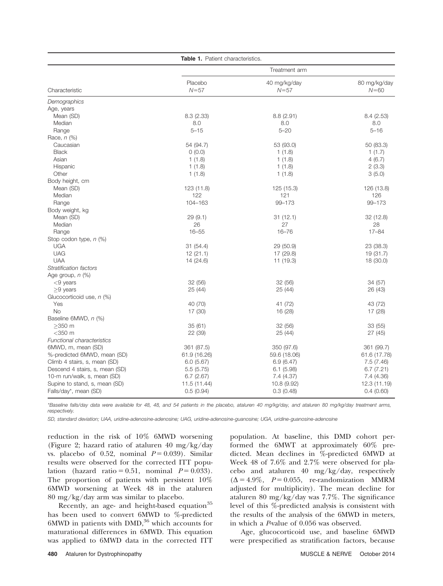|                                   | Table 1. Patient characteristics. |                          |                          |
|-----------------------------------|-----------------------------------|--------------------------|--------------------------|
|                                   |                                   | Treatment arm            |                          |
| Characteristic                    | Placebo<br>$N = 57$               | 40 mg/kg/day<br>$N = 57$ | 80 mg/kg/day<br>$N = 60$ |
| Demographics                      |                                   |                          |                          |
| Age, years<br>Mean (SD)           | 8.3(2.33)                         | 8.8(2.91)                | 8.4(2.53)                |
| Median                            | 8.0                               | 8.0                      | 8.0                      |
| Range                             | $5 - 15$                          | $5 - 20$                 | $5 - 16$                 |
| Race, $n$ $(\%)$                  |                                   |                          |                          |
| Caucasian                         | 54 (94.7)                         | 53 (93.0)                | 50 (83.3)                |
| <b>Black</b>                      | 0(0.0)                            | 1(1.8)                   | 1(1.7)                   |
| Asian                             | 1(1.8)                            | 1(1.8)                   | 4(6.7)                   |
| Hispanic                          | 1(1.8)                            | 1(1.8)                   | 2(3.3)                   |
| Other                             | 1(1.8)                            | 1(1.8)                   | 3(5.0)                   |
| Body height, cm                   |                                   |                          |                          |
| Mean (SD)                         | 123 (11.8)                        | 125 (15.3)               | 126 (13.8)               |
| Median                            | 122                               | 121                      | 126                      |
| Range                             | 104-163                           | 99-173                   | 99-173                   |
| Body weight, kg                   |                                   |                          |                          |
| Mean (SD)                         | 29(9.1)                           | 31(12.1)                 | 32 (12.8)                |
| Median                            | 26                                | 27                       | 28                       |
| Range                             | $16 - 55$                         | $16 - 76$                | $17 - 84$                |
| Stop codon type, n (%)            |                                   |                          |                          |
| <b>UGA</b>                        | 31(54.4)                          | 29 (50.9)                | 23 (38.3)                |
| <b>UAG</b>                        | 12(21.1)                          | 17 (29.8)                | 19 (31.7)                |
| <b>UAA</b>                        | 14 (24.6)                         | 11 (19.3)                | 18 (30.0)                |
| Stratification factors            |                                   |                          |                          |
| Age group, $n$ (%)                |                                   |                          |                          |
| $<$ 9 years                       | 32 (56)                           | 32 (56)                  | 34 (57)                  |
| $>9$ years                        | 25 (44)                           | 25(44)                   | 26 (43)                  |
| Glucocorticoid use, n (%)         |                                   |                          |                          |
| Yes                               | 40 (70)                           | 41 (72)                  | 43 (72)                  |
| <b>No</b>                         | 17 (30)                           | 16 (28)                  | 17 (28)                  |
| Baseline 6MWD, n (%)              |                                   |                          |                          |
| $>350$ m                          | 35 (61)                           | 32 (56)                  | 33 (55)                  |
| $<$ 350 $m$                       | 22 (39)                           | 25 (44)                  | 27(45)                   |
| <b>Functional characteristics</b> |                                   |                          |                          |
| 6MWD, m, mean (SD)                | 361 (87.5)                        | 350 (97.6)               | 361 (99.7)               |
| %-predicted 6MWD, mean (SD)       | 61.9 (16.26)                      | 59.6 (18.06)             | 61.6 (17.78)             |
| Climb 4 stairs, s, mean (SD)      | 6.0(5.67)                         | 6.9(6.47)                | 7.5(7.46)                |
| Descend 4 stairs, s, mean (SD)    | 5.5(5.75)                         | 6.1(5.98)                | 6.7(7.21)                |
| 10-m run/walk, s, mean (SD)       | 6.7(2.67)                         | 7.4 (4.37)               | 7.4 (4.36)               |
| Supine to stand, s, mean (SD)     | 11.5 (11.44)                      | 10.8 (9.92)              | 12.3 (11.19)             |
| Falls/day*, mean (SD)             | 0.5(0.94)                         | 0.3(0.48)                | 0.4(0.60)                |
|                                   |                                   |                          |                          |

\*Baseline falls/day data were available for 48, 48, and 54 patients in the placebo, ataluren 40 mg/kg/day, and ataluren 80 mg/kg/day treatment arms, respectively.

SD, standard deviation; UAA, uridine-adenosine-adenosine; UAG, uridine-adenosine-guanosine; UGA, uridine-guanosine-adenosine

reduction in the risk of 10% 6MWD worsening (Figure 2; hazard ratio of ataluren 40 mg/kg/day vs. placebo of 0.52, nominal  $P = 0.039$ . Similar results were observed for the corrected ITT population (hazard ratio = 0.51, nominal  $P = 0.033$ ). The proportion of patients with persistent 10% 6MWD worsening at Week 48 in the ataluren 80 mg/kg/day arm was similar to placebo.

Recently, an age- and height-based equation<sup>35</sup> has been used to convert 6MWD to %-predicted 6MWD in patients with DMD,<sup>36</sup> which accounts for maturational differences in 6MWD. This equation was applied to 6MWD data in the corrected ITT

population. At baseline, this DMD cohort performed the 6MWT at approximately 60% predicted. Mean declines in %-predicted 6MWD at Week 48 of 7.6% and 2.7% were observed for placebo and ataluren 40 mg/kg/day, respectively  $(\Delta = 4.9\%, P = 0.055,$  re-randomization MMRM adjusted for multiplicity). The mean decline for ataluren 80 mg/kg/day was 7.7%. The significance level of this %-predicted analysis is consistent with the results of the analysis of the 6MWD in meters, in which a P-value of 0.056 was observed.

Age, glucocorticoid use, and baseline 6MWD were prespecified as stratification factors, because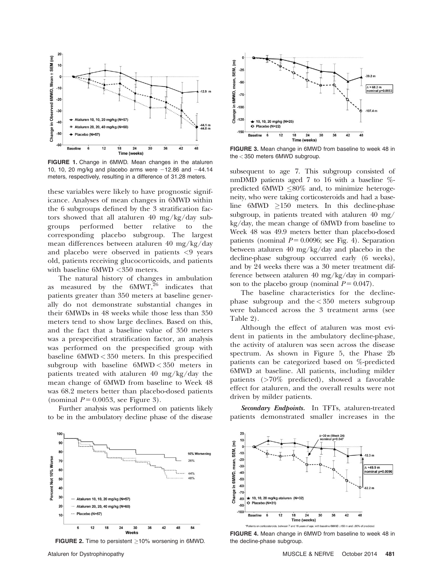

FIGURE 1. Change in 6MWD. Mean changes in the ataluren 10, 10, 20 mg/kg and placebo arms were  $-12.86$  and  $-44.14$ meters, respectively, resulting in a difference of 31.28 meters.

these variables were likely to have prognostic significance. Analyses of mean changes in 6MWD within the 6 subgroups defined by the 3 stratification factors showed that all ataluren 40 mg/kg/day subgroups performed better relative to the corresponding placebo subgroup. The largest mean differences between ataluren 40 mg/kg/day and placebo were observed in patients  $\langle 9 \rangle$  years old, patients receiving glucocorticoids, and patients with baseline 6MWD <350 meters.

The natural history of changes in ambulation as measured by the  $6MWT<sub>1</sub><sup>26</sup>$  indicates that patients greater than 350 meters at baseline generally do not demonstrate substantial changes in their 6MWDs in 48 weeks while those less than 350 meters tend to show large declines. Based on this, and the fact that a baseline value of 350 meters was a prespecified stratification factor, an analysis was performed on the prespecified group with baseline 6MWD < 350 meters. In this prespecified subgroup with baseline 6MWD < 350 meters in patients treated with ataluren 40 mg/kg/day the mean change of 6MWD from baseline to Week 48 was 68.2 meters better than placebo-dosed patients (nominal  $P = 0.0053$ , see Figure 3).

Further analysis was performed on patients likely to be in the ambulatory decline phase of the disease







FIGURE 3. Mean change in 6MWD from baseline to week 48 in the < 350 meters 6MWD subgroup.

subsequent to age 7. This subgroup consisted of nmDMD patients aged 7 to 16 with a baseline % predicted 6MWD  $\leq$ 80% and, to minimize heterogeneity, who were taking corticosteroids and had a baseline  $6MWD \geq 150$  meters. In this decline-phase subgroup, in patients treated with ataluren 40 mg/ kg/day, the mean change of 6MWD from baseline to Week 48 was 49.9 meters better than placebo-dosed patients (nominal  $P = 0.0096$ ; see Fig. 4). Separation between ataluren 40 mg/kg/day and placebo in the decline-phase subgroup occurred early (6 weeks), and by 24 weeks there was a 30 meter treatment difference between ataluren 40 mg/kg/day in comparison to the placebo group (nominal  $P = 0.047$ ).

The baseline characteristics for the declinephase subgroup and the < 350 meters subgroup were balanced across the 3 treatment arms (see Table 2).

Although the effect of ataluren was most evident in patients in the ambulatory decline-phase, the activity of ataluren was seen across the disease spectrum. As shown in Figure 5, the Phase 2b patients can be categorized based on %-predicted 6MWD at baseline. All patients, including milder patients (>70% predicted), showed a favorable effect for ataluren, and the overall results were not driven by milder patients.

Secondary Endpoints. In TFTs, ataluren-treated patients demonstrated smaller increases in the



FIGURE 4. Mean change in 6MWD from baseline to week 48 in the decline-phase subgroup.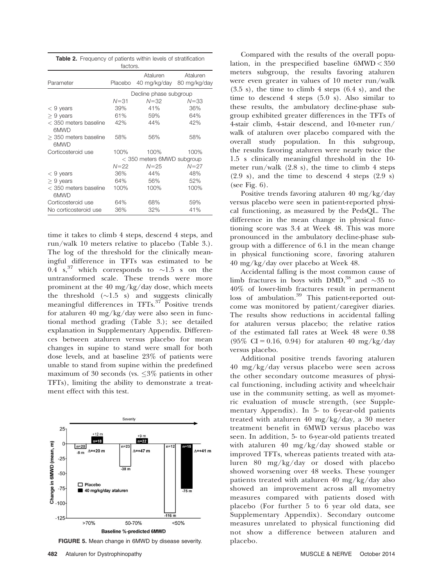| <b>Table 2.</b> Frequency of patients within levels of stratification | factors.                   |                                       |          |  |  |  |
|-----------------------------------------------------------------------|----------------------------|---------------------------------------|----------|--|--|--|
| Parameter                                                             | Placebo                    | Ataluren<br>40 mg/kg/day 80 mg/kg/day | Ataluren |  |  |  |
|                                                                       | Decline phase subgroup     |                                       |          |  |  |  |
|                                                                       | $N = 31$                   | $N = 32$                              | $N = 33$ |  |  |  |
| $< 9$ years                                                           | 39%                        | 41%                                   | 36%      |  |  |  |
| $> 9$ years                                                           | 61%                        | 59%                                   | 64%      |  |  |  |
| $<$ 350 meters baseline<br>6MWD                                       | 42%                        | 44%                                   | 42%      |  |  |  |
| $>$ 350 meters baseline<br>6MWD                                       | 58%                        | 56%                                   | 58%      |  |  |  |
| Corticosteroid use                                                    | 100%                       | 100%                                  | 100%     |  |  |  |
|                                                                       | < 350 meters 6MWD subgroup |                                       |          |  |  |  |
|                                                                       | $N = 22$                   | $N = 25$                              | $N = 27$ |  |  |  |
| $< 9$ years                                                           | 36%                        | 44%                                   | 48%      |  |  |  |
| $> 9$ years                                                           | 64%                        | 56%                                   | 52%      |  |  |  |
| $<$ 350 meters baseline<br><b>6MWD</b>                                | 100%                       | 100%                                  | 100%     |  |  |  |
| Corticosteroid use                                                    | 64%                        | 68%                                   | 59%      |  |  |  |
| No corticosteroid use                                                 | 36%                        | 32%                                   | 41%      |  |  |  |

time it takes to climb 4 steps, descend 4 steps, and run/walk 10 meters relative to placebo (Table 3.). The log of the threshold for the clinically meaningful difference in TFTs was estimated to be 0.4 s,<sup>37</sup> which corresponds to  $\sim$ 1.5 s on the untransformed scale. These trends were more prominent at the 40 mg/kg/day dose, which meets the threshold  $(\sim 1.5 \text{ s})$  and suggests clinically meaningful differences in TFTs.<sup>37</sup> Positive trends for ataluren 40 mg/kg/day were also seen in functional method grading (Table 3.); see detailed explanation in Supplementary Appendix. Differences between ataluren versus placebo for mean changes in supine to stand were small for both dose levels, and at baseline 23% of patients were unable to stand from supine within the predefined maximum of 30 seconds (vs.  $\leq$ 3% patients in other TFTs), limiting the ability to demonstrate a treatment effect with this test.





Compared with the results of the overall population, in the prespecified baseline 6MWD < 350 meters subgroup, the results favoring ataluren were even greater in values of 10 meter run/walk  $(3.5 \text{ s})$ , the time to climb 4 steps  $(6.4 \text{ s})$ , and the time to descend 4 steps (5.0 s). Also similar to these results, the ambulatory decline-phase subgroup exhibited greater differences in the TFTs of 4-stair climb, 4-stair descend, and 10-meter run/ walk of ataluren over placebo compared with the overall study population. In this subgroup, the results favoring ataluren were nearly twice the 1.5 s clinically meaningful threshold in the 10 meter run/walk  $(2.8 \text{ s})$ , the time to climb 4 steps  $(2.9 \text{ s})$ , and the time to descend 4 steps  $(2.9 \text{ s})$ (see Fig.  $6$ ).

Positive trends favoring ataluren 40 mg/kg/day versus placebo were seen in patient-reported physical functioning, as measured by the PedsQL. The difference in the mean change in physical functioning score was 3.4 at Week 48. This was more pronounced in the ambulatory decline-phase subgroup with a difference of 6.1 in the mean change in physical functioning score, favoring ataluren 40 mg/kg/day over placebo at Week 48.

Accidental falling is the most common cause of limb fractures in boys with DMD,<sup>38</sup> and  $\sim$ 35 to 40% of lower-limb fractures result in permanent loss of ambulation.<sup>39</sup> This patient-reported outcome was monitored by patient/caregiver diaries. The results show reductions in accidental falling for ataluren versus placebo; the relative ratios of the estimated fall rates at Week 48 were 0.38 (95% CI = 0.16, 0.94) for ataluren 40 mg/kg/day versus placebo.

Additional positive trends favoring ataluren 40 mg/kg/day versus placebo were seen across the other secondary outcome measures of physical functioning, including activity and wheelchair use in the community setting, as well as myometric evaluation of muscle strength, (see Supplementary Appendix). In 5- to 6-year-old patients treated with ataluren 40 mg/kg/day, a 30 meter treatment benefit in 6MWD versus placebo was seen. In addition, 5- to 6-year-old patients treated with ataluren 40 mg/kg/day showed stable or improved TFTs, whereas patients treated with ataluren 80 mg/kg/day or dosed with placebo showed worsening over 48 weeks. These younger patients treated with ataluren 40 mg/kg/day also showed an improvement across all myometry measures compared with patients dosed with placebo (For further 5 to 6 year old data, see Supplementary Appendix). Secondary outcome measures unrelated to physical functioning did not show a difference between ataluren and placebo.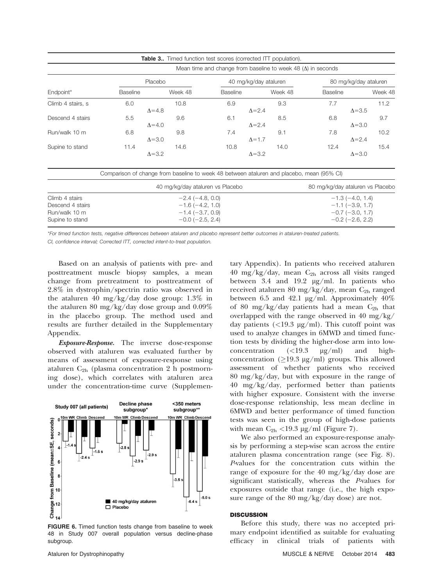|                                                                        |                                                                                           |                                                                                                                                                                                                    | <b>Table 3</b> Timed function test scores (corrected ITT population).<br>Mean time and change from baseline to week 48 $(\Delta)$ in seconds |                              |                                  |                        |
|------------------------------------------------------------------------|-------------------------------------------------------------------------------------------|----------------------------------------------------------------------------------------------------------------------------------------------------------------------------------------------------|----------------------------------------------------------------------------------------------------------------------------------------------|------------------------------|----------------------------------|------------------------|
|                                                                        | Placebo                                                                                   |                                                                                                                                                                                                    |                                                                                                                                              | 40 mg/kg/day ataluren        |                                  | 80 mg/kg/day ataluren  |
| Endpoint*                                                              | Baseline                                                                                  | Week 48                                                                                                                                                                                            | <b>Baseline</b>                                                                                                                              | Week 48                      | <b>Baseline</b>                  | Week 48                |
| Climb 4 stairs, s                                                      | 6.0                                                                                       | 10.8<br>$\Delta = 4.8$                                                                                                                                                                             |                                                                                                                                              | 9.3<br>6.9<br>$\Delta = 2.4$ |                                  | 11.2<br>$\Delta = 3.5$ |
| Descend 4 stairs                                                       | 5.5<br>$\Delta = 4.0$                                                                     | 9.6                                                                                                                                                                                                | 8.5<br>6.1<br>$\Delta = 2.4$                                                                                                                 |                              | 6.8                              | 9.7<br>$\Delta = 3.0$  |
| Run/walk 10 m                                                          | 6.8<br>$\Delta = 3.0$                                                                     | 9.8                                                                                                                                                                                                | 7.4                                                                                                                                          | 9.1<br>$\Delta$ =1.7         | 7.8                              | 10.2<br>$\Delta = 2.4$ |
| Supine to stand                                                        | 11.4<br>$\Delta = 3.2$                                                                    | 14.6                                                                                                                                                                                               | 10.8                                                                                                                                         | 14.0<br>$\Delta = 3.2$       | 12.4                             | 15.4<br>$\Delta = 3.0$ |
|                                                                        | Comparison of change from baseline to week 48 between ataluren and placebo, mean (95% CI) |                                                                                                                                                                                                    |                                                                                                                                              |                              |                                  |                        |
|                                                                        |                                                                                           | 40 mg/kg/day ataluren vs Placebo                                                                                                                                                                   |                                                                                                                                              |                              | 80 mg/kg/day ataluren vs Placebo |                        |
| Climb 4 stairs<br>Descend 4 stairs<br>Run/walk 10 m<br>Supine to stand |                                                                                           | $-2.4$ ( $-4.8$ , 0.0)<br>$-1.3(-4.0, 1.4)$<br>$-1.6(-4.2, 1.0)$<br>$-1.1$ ( $-3.9$ , 1.7)<br>$-1.4$ ( $-3.7, 0.9$ )<br>$-0.7$ ( $-3.0, 1.7$ )<br>$-0.0$ ( $-2.5$ , 2.4)<br>$-0.2$ ( $-2.6$ , 2.2) |                                                                                                                                              |                              |                                  |                        |

\*For timed function tests, negative differences between ataluren and placebo represent better outcomes in ataluren-treated patients.

CI, confidence interval; Corrected ITT, corrected intent-to-treat population.

Based on an analysis of patients with pre- and posttreatment muscle biopsy samples, a mean change from pretreatment to posttreatment of 2.8% in dystrophin/spectrin ratio was observed in the ataluren 40 mg/kg/day dose group: 1.3% in the ataluren 80 mg/kg/day dose group and 0.09% in the placebo group. The method used and results are further detailed in the Supplementary Appendix.

**Exposure-Response.** The inverse dose-response observed with ataluren was evaluated further by means of assessment of exposure-response using ataluren  $C_{2h}$  (plasma concentration 2 h postmorning dose), which correlates with ataluren area under the concentration-time curve (Supplemen-



FIGURE 6. Timed function tests change from baseline to week 48 in Study 007 overall population versus decline-phase subgroup.

tary Appendix). In patients who received ataluren 40 mg/kg/day, mean  $C_{2h}$  across all visits ranged between 3.4 and 19.2  $\mu$ g/ml. In patients who received ataluren 80 mg/kg/day, mean  $C_{2h}$  ranged between 6.5 and 42.1  $\mu$ g/ml. Approximately 40% of 80 mg/kg/day patients had a mean  $C_{2h}$  that overlapped with the range observed in 40 mg/kg/ day patients  $(<19.3 \text{ µg/ml})$ . This cutoff point was used to analyze changes in 6MWD and timed function tests by dividing the higher-dose arm into lowconcentration  $\langle$  <19.3  $\mu$ g/ml) and highconcentration ( $>19.3 \mu$ g/ml) groups. This allowed assessment of whether patients who received 80 mg/kg/day, but with exposure in the range of 40 mg/kg/day, performed better than patients with higher exposure. Consistent with the inverse dose-response relationship, less mean decline in 6MWD and better performance of timed function tests was seen in the group of high-dose patients with mean  $C_{2h}$  <19.3 µg/ml (Figure 7).

We also performed an exposure-response analysis by performing a step-wise scan across the entire ataluren plasma concentration range (see Fig. 8). P-values for the concentration cuts within the range of exposure for the 40 mg/kg/day dose are significant statistically, whereas the P-values for exposures outside that range (i.e., the high exposure range of the 80 mg/kg/day dose) are not.

#### **DISCUSSION**

Before this study, there was no accepted primary endpoint identified as suitable for evaluating efficacy in clinical trials of patients with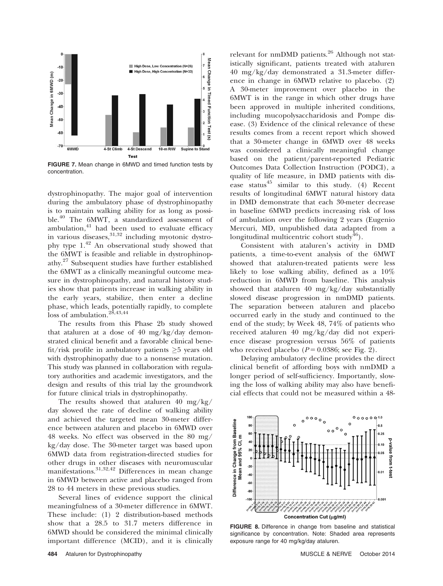

FIGURE 7. Mean change in 6MWD and timed function tests by concentration.

dystrophinopathy. The major goal of intervention during the ambulatory phase of dystrophinopathy is to maintain walking ability for as long as possible.<sup>40</sup> The 6MWT, a standardized assessment of ambulation, $^{41}$  had been used to evaluate efficacy in various diseases,  $31,32$  including myotonic dystrophy type 1.<sup>42</sup> An observational study showed that the 6MWT is feasible and reliable in dystrophinopathy.27 Subsequent studies have further established the 6MWT as a clinically meaningful outcome measure in dystrophinopathy, and natural history studies show that patients increase in walking ability in the early years, stabilize, then enter a decline phase, which leads, potentially rapidly, to complete loss of ambulation.<sup>28,43,44</sup>

The results from this Phase 2b study showed that ataluren at a dose of 40 mg/kg/day demonstrated clinical benefit and a favorable clinical benefit/risk profile in ambulatory patients  $\geq$ 5 years old with dystrophinopathy due to a nonsense mutation. This study was planned in collaboration with regulatory authorities and academic investigators, and the design and results of this trial lay the groundwork for future clinical trials in dystrophinopathy.

The results showed that ataluren 40 mg/kg/ day slowed the rate of decline of walking ability and achieved the targeted mean 30-meter difference between ataluren and placebo in 6MWD over 48 weeks. No effect was observed in the 80 mg/ kg/day dose. The 30-meter target was based upon 6MWD data from registration-directed studies for other drugs in other diseases with neuromuscular manifestations.31,32,42 Differences in mean change in 6MWD between active and placebo ranged from 28 to 44 meters in these previous studies.

Several lines of evidence support the clinical meaningfulness of a 30-meter difference in 6MWT. These include: (1) 2 distribution-based methods show that a 28.5 to 31.7 meters difference in 6MWD should be considered the minimal clinically important difference (MCID), and it is clinically

relevant for nmDMD patients.<sup>26</sup> Although not statistically significant, patients treated with ataluren 40 mg/kg/day demonstrated a 31.3-meter difference in change in 6MWD relative to placebo. (2) A 30-meter improvement over placebo in the 6MWT is in the range in which other drugs have been approved in multiple inherited conditions, including mucopolysaccharidosis and Pompe disease. (3) Evidence of the clinical relevance of these results comes from a recent report which showed that a 30-meter change in 6MWD over 48 weeks was considered a clinically meaningful change based on the patient/parent-reported Pediatric Outcomes Data Collection Instruction (PODCI), a quality of life measure, in DMD patients with disease status $45$  similar to this study. (4) Recent results of longitudinal 6MWT natural history data in DMD demonstrate that each 30-meter decrease in baseline 6MWD predicts increasing risk of loss of ambulation over the following 2 years (Eugenio Mercuri, MD, unpublished data adapted from a longitudinal multicentric cohort study<sup>46</sup>).

Consistent with ataluren's activity in DMD patients, a time-to-event analysis of the 6MWT showed that ataluren-treated patients were less likely to lose walking ability, defined as a 10% reduction in 6MWD from baseline. This analysis showed that ataluren 40 mg/kg/day substantially slowed disease progression in nmDMD patients. The separation between ataluren and placebo occurred early in the study and continued to the end of the study; by Week 48, 74% of patients who received ataluren 40 mg/kg/day did not experience disease progression versus 56% of patients who received placebo ( $P = 0.0386$ ; see Fig. 2).

Delaying ambulatory decline provides the direct clinical benefit of affording boys with nmDMD a longer period of self-sufficiency. Importantly, slowing the loss of walking ability may also have beneficial effects that could not be measured within a 48-



FIGURE 8. Difference in change from baseline and statistical significance by concentration. Note: Shaded area represents exposure range for 40 mg/kg/day ataluren.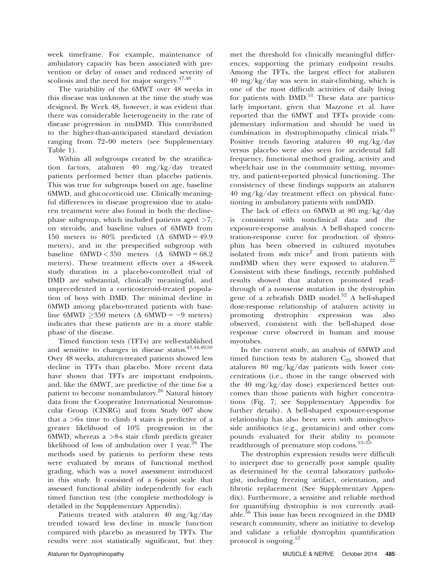week timeframe. For example, maintenance of ambulatory capacity has been associated with prevention or delay of onset and reduced severity of scoliosis and the need for major surgery.<sup>47,48</sup>

The variability of the 6MWT over 48 weeks in this disease was unknown at the time the study was designed. By Week 48, however, it was evident that there was considerable heterogeneity in the rate of disease progression in nmDMD. This contributed to the higher-than-anticipated standard deviation ranging from 72–90 meters (see Supplementary Table 1).

Within all subgroups created by the stratification factors, ataluren 40 mg/kg/day treated patients performed better than placebo patients. This was true for subgroups based on age, baseline 6MWD, and glucocorticoid use. Clinically meaningful differences in disease progression due to ataluren treatment were also found in both the declinephase subgroup, which included patients aged  $>7$ , on steroids, and baseline values of 6MWD from 150 meters to 80% predicted ( $\triangle$  6MWD = 49.9 meters), and in the prespecified subgroup with baseline  $6MWD < 350$  meters ( $\Delta$  6MWD = 68.2 meters). These treatment effects over a 48-week study duration in a placebo-controlled trial of DMD are substantial, clinically meaningful, and unprecedented in a corticosteroid-treated population of boys with DMD. The minimal decline in 6MWD among placebo-treated patients with baseline 6MWD  $\geq$ 350 meters ( $\triangle$  6MWD = -9 meters) indicates that these patients are in a more stable phase of the disease.

Timed function tests (TFTs) are well-established and sensitive to changes in disease status.<sup>43,44,49,50</sup> Over 48 weeks, ataluren-treated patients showed less decline in TFTs than placebo. More recent data have shown that TFTs are important endpoints, and, like the 6MWT, are predictive of the time for a patient to become nonambulatory.<sup>26</sup> Natural history data from the Cooperative International Neuromuscular Group (CINRG) and from Study 007 show that  $a > 6$ -s time to climb 4 stairs is predictive of a greater likelihood of 10% progression in the 6MWD, whereas  $a > 8$ -s stair climb predicts greater likelihood of loss of ambulation over 1 year. $26$  The methods used by patients to perform these tests were evaluated by means of functional method grading, which was a novel assessment introduced in this study. It consisted of a 6-point scale that assessed functional ability independently for each timed function test (the complete methodology is detailed in the Supplementary Appendix).

Patients treated with ataluren 40 mg/kg/day trended toward less decline in muscle function compared with placebo as measured by TFTs. The results were not statistically significant, but they met the threshold for clinically meaningful differences, supporting the primary endpoint results. Among the TFTs, the largest effect for ataluren 40 mg/kg/day was seen in stair-climbing, which is one of the most difficult activities of daily living for patients with DMD.<sup>51</sup> These data are particularly important, given that Mazzone et al. have reported that the 6MWT and TFTs provide complementary information and should be used in combination in dystrophinopathy clinical trials.<sup>43</sup> Positive trends favoring ataluren 40 mg/kg/day versus placebo were also seen for accidental fall frequency, functional method grading, activity and wheelchair use in the community setting, myometry, and patient-reported physical functioning. The consistency of these findings supports an ataluren 40 mg/kg/day treatment effect on physical functioning in ambulatory patients with nmDMD.

The lack of effect on 6MWD at 80 mg/kg/day is consistent with nonclinical data and the exposure-response analysis. A bell-shaped concentration-response curve for production of dystrophin has been observed in cultured myotubes isolated from  $mdx$  mice<sup>2</sup> and from patients with  $n$ mDMD when they were exposed to ataluren.<sup>22</sup> Consistent with these findings, recently published results showed that ataluren promoted readthrough of a nonsense mutation in the dystrophin gene of a zebrafish DMD model.<sup>52</sup> A bell-shaped dose-response relationship of ataluren activity in promoting dystrophin expression was also observed, consistent with the bell-shaped dose response curve observed in human and mouse myotubes.

In the current study, an analysis of 6MWD and timed function tests by ataluren  $C_{2h}$  showed that ataluren 80 mg/kg/day patients with lower concentrations (i.e., those in the range observed with the 40 mg/kg/day dose) experienced better outcomes than those patients with higher concentrations (Fig. 7; see Supplementary Appendix for further details). A bell-shaped exposure-response relationship has also been seen with aminoglycoside antibiotics (e.g., gentamicin) and other compounds evaluated for their ability to promote readthrough of premature stop codons.<sup>53–51</sup>

The dystrophin expression results were difficult to interpret due to generally poor sample quality as determined by the central laboratory pathologist, including freezing artifact, orientation, and fibrotic replacement (See Supplementary Appendix). Furthermore, a sensitive and reliable method for quantifying dystrophin is not currently available.56 This issue has been recognized in the DMD research community, where an initiative to develop and validate a reliable dystrophin quantification protocol is ongoing.<sup>57</sup>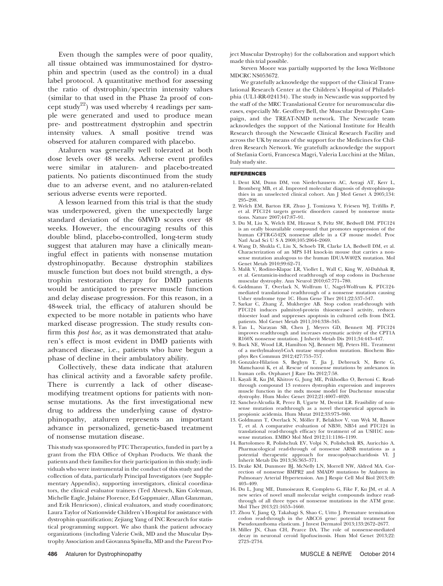Even though the samples were of poor quality, all tissue obtained was immunostained for dystrophin and spectrin (used as the control) in a dual label protocol. A quantitative method for assessing the ratio of dystrophin/spectrin intensity values (similar to that used in the Phase 2a proof of concept study<sup>22</sup>) was used whereby 4 readings per sample were generated and used to produce mean pre- and posttreatment dystrophin and spectrin intensity values. A small positive trend was observed for ataluren compared with placebo.

Ataluren was generally well tolerated at both dose levels over 48 weeks. Adverse event profiles were similar in ataluren- and placebo-treated patients. No patients discontinued from the study due to an adverse event, and no ataluren-related serious adverse events were reported.

A lesson learned from this trial is that the study was underpowered, given the unexpectedly large standard deviation of the 6MWD scores over 48 weeks. However, the encouraging results of this double blind, placebo-controlled, long-term study suggest that ataluren may have a clinically meaningful effect in patients with nonsense mutation dystrophinopathy. Because dystrophin stabilizes muscle function but does not build strength, a dystrophin restoration therapy for DMD patients would be anticipated to preserve muscle function and delay disease progression. For this reason, in a 48-week trial, the efficacy of ataluren should be expected to be more notable in patients who have marked disease progression. The study results confirm this post hoc, as it was demonstrated that ataluren's effect is most evident in DMD patients with advanced disease, i.e., patients who have begun a phase of decline in their ambulatory ability.

Collectively, these data indicate that ataluren has clinical activity and a favorable safety profile. There is currently a lack of other diseasemodifying treatment options for patients with nonsense mutations. As the first investigational new drug to address the underlying cause of dystrophinopathy, ataluren represents an important advance in personalized, genetic-based treatment of nonsense mutation disease.

This study was sponsored by PTC Therapeutics, funded in part by a grant from the FDA Office of Orphan Products. We thank the patients and their families for their participation in this study; individuals who were instrumental in the conduct of this study and the collection of data, particularly Principal Investigators (see Supplementary Appendix), supporting investigators, clinical coordinators, the clinical evaluator trainers (Ted Abresch, Kim Coleman, Michelle Eagle, Julaine Florence, Ed Gappmaier, Allan Glanzman, and Erik Henricson), clinical evaluators, and study coordinators; Laura Taylor of Nationwide Children's Hospital for assistance with dystrophin quantification; Zejiang Yang of INC Research for statistical programming support. We also thank the patient advocacy organizations (including Valerie Cwik, MD and the Muscular Dystrophy Association and Giovanna Spinella, MD and the Parent Project Muscular Dystrophy) for the collaboration and support which made this trial possible.

Steven Moore was partially supported by the Iowa Wellstone MDCRC NS053672.

We gratefully acknowledge the support of the Clinical Translational Research Center at the Children's Hospital of Philadelphia (UL1-RR-024134). The study in Newcastle was supported by the staff of the MRC Translational Centre for neuromuscular diseases, especially Mr. Geoffrey Bell, the Muscular Dystrophy Campaign, and the TREAT-NMD network. The Newcastle team acknowledges the support of the National Institute for Health Research through the Newcastle Clinical Research Facility and across the UK by means of the support for the Medicines for Children Research Network. We gratefully acknowledge the support of Stefania Corti, Francesca Magri, Valeria Lucchini at the Milan, Italy study site.

#### REFERENCES

- 1. Dent KM, Dunn DM, von Niederhausern AC, Aoyagi AT, Kerr L, Bromberg MB, et al. Improved molecular diagnosis of dystrophinopathies in an unselected clinical cohort. Am J Med Genet A 2005;134: 295–298.
- 2. Welch EM, Barton ER, Zhuo J, Tomizawa Y, Friesen WJ, Trifillis P, et al. PTC124 targets genetic disorders caused by nonsense mutations. Nature 2007;447:87–91.
- 3. Du M, Liu X, Welch EM, Hirawat S, Peltz SW, Bedwell DM. PTC124 is an orally bioavailable compound that promotes suppression of the human CFTR-G542X nonsense allele in a CF mouse model. Proc Natl Acad Sci U S A 2008;105:2064–2069.
- 4. Wang D, Shukla C, Liu X, Schoeb TR, Clarke LA, Bedwell DM, et al. Characterization of an MPS I-H knock-in mouse that carries a nonsense mutation analogous to the human IDUA-W402X mutation. Mol Genet Metab 2010;99:62–71.
- 5. Malik V, Rodino-Klapac LR, Viollet L, Wall C, King W, Al-Dahhak R, et al. Gentamicin-induced readthrough of stop codons in Duchenne muscular dystrophy. Ann Neurol 2010;67:771–780.
- 6. Goldmann T, Overlack N, Wolfrum U, Nagel-Wolfrum K. PTC124 mediated translational readthrough of a nonsense mutation causing Usher syndrome type 1C. Hum Gene Ther 2011;22:537–547.
- 7. Sarkar C, Zhang Z, Mukherjee AB. Stop codon read-through with PTC124 induces palmitoyl-protein thioesterase-1 activity, reduces thioester load and suppresses apoptosis in cultured cells from INCL
- patients. Mol Genet Metab 2011;104:338–345. 8. Tan L, Narayan SB, Chen J, Meyers GD, Bennett MJ. PTC124 improves readthrough and increases enzymatic activity of the CPT1A R160X nonsense mutation. J Inherit Metab Dis 2011;34:443–447.
- 9. Buck NE, Wood LR, Hamilton NJ, Bennett MJ, Peters HL. Treatment of a methylmalonyl-CoA mutase stopcodon mutation. Biochem Biophys Res Commun 2012;427:753–757.
- 10. Gonzalez-Hilarion S, Beghyn T, Jia J, Debreuck N, Berte G, Mamchaoui K, et al. Rescue of nonsense mutations by amlexanox in human cells. Orphanet J Rare Dis 2012;7:58.
- 11. Kayali R, Ku JM, Khitrov G, Jung ME, Prikhodko O, Bertoni C. Readthrough compound 13 restores dystrophin expression and improves muscle function in the mdx mouse model for Duchenne muscular dystrophy. Hum Molec Genet 2012;21:4007–4020.
- 12. Sanchez-Alcudia R, Perez B, Ugarte M, Desviat LR. Feasibility of nonsense mutation readthrough as a novel therapeutical approach in propionic acidemia. Hum Mutat 2012;33:973–980.
- 13. Goldmann T, Overlack N, Möller F, Belakhov V, van Wyk M, Baasov T, et al. A comparative evaluation of NB30, NB54 and PTC124 in translational read-through efficacy for treatment of an USH1C nonsense mutation. EMBO Mol Med 2012;11:1186–1199.
- 14. Bartolomeo R, Polishchuk EV, Volpi N, Polishchuk RS, Auricchio A. Pharmacological read-through of nonsense ARSB mutations as a potential therapeutic approach for mucopolysaccharidosis VI. J Inherit Metab Dis 2013;36:363–371.
- 15. Drake KM, Dunmore BJ, McNelly LN, Morrell NW, Aldred MA. Correction of nonsense BMPR2 and SMAD9 mutations by Ataluren in Pulmonary Arterial Hypertension. Am J Respir Cell Mol Biol 2013;49: 403–409.
- 16. Du L, Jung ME, Damoiseaux R, Completo G, Fike F, Ku JM, et al. A new series of novel small molecular weight compounds induce readthrough of all three types of nonsense mutations in the ATM gene. Mol Ther 2013;21:1653–1660.
- 17. Zhou Y, Jiang Q, Takahagi S, Shao C, Uitto J. Premature termination codon read-through in the ABCC6 gene: potential treatment for Pseudoxanthoma elasticum. J Invest Dermatol 2013;133:2672–2677.
- 18. Miller JN, Chan CH, Pearce DA. The role of nonsense-mediated decay in neuronal ceroid lipofuscinosis. Hum Mol Genet 2013;22: 2723–2734.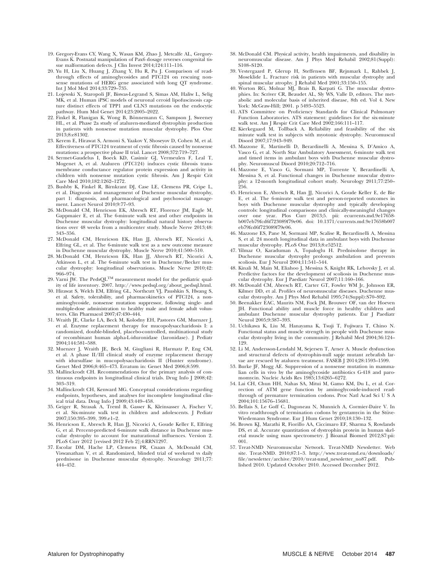- 19. Gregory-Evans CY, Wang X, Wasan KM, Zhao J, Metcalfe AL, Gregory-Evans K. Postnatal manipulation of Pax6 dosage reverses congenital tissue malformation defects. J Clin Invest 2014;124:111–116.
- 20. Yu H, Liu X, Huang J, Zhang Y, Hu R, Pu J. Comparison of readthrough effects of aminoglycosides and PTC124 on rescuing nonsense mutations of HERG gene associated with long QT syndrome. Int J Mol Med 2014;33:729–735.
- 21. Lojewski X, Staropoli JF, Biswas-Legrand S, Simas AM, Haliw L, Selig MK, et al. Human iPSC models of neuronal ceroid lipofuscinosis capture distinct effects of TPP1 and CLN3 mutations on the endocytic pathway. Hum Mol Genet 2014;23:2005–2022.
- 22. Finkel R, Flanigan K, Wong B, Bonnemann C, Sampson J, Sweeney € HL, et al. Phase 2a study of ataluren-mediated dystrophin production in patients with nonsense mutation muscular dystrophy. Plos One 2013;8:e81302.
- 23. Kerem E, Hirawat S, Armoni S, Yaakov Y, Shoseyov D, Cohen M, et al. Effectiveness of PTC124 treatment of cystic fibrosis caused by nonsense mutations: a prospective phase II trial. Lancet 2008;372:719–727.
- 24. Sermet-Gaudelus I, Boeck KD, Casimir GJ, Vermeulen F, Leal T, Mogenet A, et al. Ataluren (PTC124) induces cystic fibrosis transmembrane conductance regulator protein expression and activity in children with nonsense mutation cystic fibrosis. Am J Respir Crit Care Med 2010;182:1262–1272.
- 25. Bushby K, Finkel R, Birnkrant DJ, Case LE, Clemens PR, Cripe L, et al. Diagnosis and management of Duchenne muscular dystrophy, part 1: diagnosis, and pharmacological and psychosocial management. Lancet Neurol 2010;9:77–93.
- 26. McDonald CM, Henricson EK, Abresch RT, Florence JM, Eagle M, Gappmaier E, et al. The 6-minute walk test and other endpoints in Duchenne muscular dystrophy: longitudinal natural history observations over 48 weeks from a multicenter study. Muscle Nerve 2013;48: 343–356.
- 27. McDonald CM, Henricson EK, Han JJ, Abresch RT, Nicorici A, Elfring GL, et al. The 6-minute walk test as a new outcome measure in Duchenne muscular dystrophy. Muscle Nerve 2010;41:500–510.
- 28. McDonald CM, Henricson EK, Han JJ, Abresch RT, Nicorici A, Atkinson L, et al. The 6-minute walk test in Duchenne/Becker muscular dystrophy: longitudinal observations. Muscle Nerve 2010;42: 966–974.
- 29. Varni JW. The Peds $QL^{TM}$  measurement model for the pediatric quality of life inventory. 2007. http://www.pedsql.org/about\_pedsql.html.
- 30. Hirawat S, Welch EM, Elfring GL, Northcutt VJ, Paushkin S, Hwang S, et al. Safety, tolerability, and pharmacokinetics of PTC124, a nonaminoglycoside, nonsense mutation suppressor, following single- and multiple-dose administration to healthy male and female adult volunteers. Clin Pharmacol 2007;47:430–444.
- 31. Wraith JE, Clarke LA, Beck M, Kolodny EH, Pastores GM, Muenzer J, et al. Enzyme replacement therapy for mucopolysaccharidosis I: a randomized, double-blinded, placebo-controlled, multinational study of recombinant human alpha-L-iduronidase (laronidase). J Pediatr 2004;144:581–588.
- 32. Muenzer J, Wraith JE, Beck M, Giugliani R, Harmatz P, Eng CM, et al. A phase II/III clinical study of enzyme replacement therapy with idursulfase in mucopolysaccharidosis II (Hunter syndrome). Genet Med 2006;8:465–473. Erratum in: Genet Med 2006;8:599.
- 33. Mallinckrodt CH. Recommendations for the primary analysis of continuous endpoints in longitudinal clinical trials. Drug Info J 2008;42: 303–319.
- 34. Mallinckrodt CH, Kenward MG. Conceptual considerations regarding endpoints, hypotheses, and analyses for incomplete longitudinal clin-ical trial data. Drug Info J 2009;43:449–458.
- 35. Geiger R, Strasak A, Treml B, Gasser K, Kleinsasser A, Fischer V, et al. Six-minute walk test in children and adolescents. J Pediatr 2007;150:395–399, 399.e1–2.
- 36. Henricson E, Abresch R, Han JJ, Nicorici A, Goude Keller E, Elfring G, et al. Percent-predicted 6-minute walk distance in Duchenne muscular dystrophy to account for maturational influences. Version 2. PLoS Curr 2012 [revised 2012 Feb 2];4:RRN1297.
- 37. Escolar DM, Hache LP, Clemens PR, Cnaan A, McDonald CM, Viswanathan V, et al. Randomized, blinded trial of weekend vs daily prednisone in Duchenne muscular dystrophy. Neurology 2011;77: 444–452.
- 38. McDonald CM. Physical activity, health impairments, and disability in neuromuscular disease. Am J Phys Med Rehabil 2002;81(Suppl): S108–S120.
- 39. Vestergaard P, Glerup H, Steffensen BF, Rejnmark L, Rahbek J, Moseklide L. Fracture risk in patients with muscular dystrophy and spinal muscular atrophy. J Rehabil Med 2001;33:150–155.
- 40. Worton RG, Molnar MJ, Brais B, Karpati G. The muscular dystrophies. In: Scriver CR, Beaudet AL, Sly WS, Valle D, editors. The metabolic and molecular basis of inherited disease, 8th ed. Vol 4. New York: McGraw-Hill; 2001. p 5493–5523.
- 41. ATS Committee on Proficiency Standards for Clinical Pulmonary Function Laboratories. ATS statement: guidelines for the six-minute walk test. Am J Respir Crit Care Med 2002;166:111–117.
- 42. Kierkegaard M, Tollback A. Reliability and feasibility of the six minute walk test in subjects with myotonic dystrophy. Neuromuscul Disord 2007;17:943–949.
- 43. Mazzone E, Martinelli D, Berardinelli A, Messina S, D'Amico A, Vasco G, et al. North Star Ambulatory Assessment, 6-minute walk test and timed items in ambulant boys with Duchenne muscular dystrophy. Neuromuscul Disord 2010;20:712–716.
- 44. Mazzone E, Vasco G, Sormani MP, Torrente Y, Berardinelli A, Messina S, et al. Functional changes in Duchenne muscular dystrophy: a 12-month longitudinal cohort study. Neurology 2011;77:250– 256.
- 45. Henricson E, Abresch R, Han JJ, Nicorici A, Goude Keller E, de Bie E, et al. The 6-minute walk test and person-reported outcomes in boys with Duchenne muscular dystrophy and typically developing controls: longitudinal comparisons and clinically-meaningful changes over one year. Plos Curr 2013;5. pii: ecurrents.md.9e17658 b007eb79fcd6f723089f79e06. doi: [10.1371/currents.md.9e17658b007](info:doi/10.1371/currents.md.9e17658b007eb79fcd6f723089f79e06) [eb79fcd6f723089f79e06.](info:doi/10.1371/currents.md.9e17658b007eb79fcd6f723089f79e06)
- 46. Mazzone ES, Pane M, Sormani MP, Scalise R, Berardinelli A, Messina S, et al. 24 month longitudinal data in ambulant boys with Duchenne muscular dystrophy. PLoS One 2013;8:e52512.
- 47. Yilmaz O, Karaduman A, Topaloglu H. Prednisolone therapy in Duchenne muscular dystrophy prolongs ambulation and prevents scoliosis. Eur J Neurol 2004;11:541–544.
- 48. Kinali M, Main M, Eliahoo J, Messina S, Knight RK, Lehovsky J, et al. Predictive factors for the development of scoliosis in Duchenne muscular dystrophy. Eur J Paediatr Neurol 2007;11:160–166.
- 49. McDonald CM, Abresch RT, Carter GT, Fowler WM Jr, Johnson ER, Kilmer DD, et al. Profiles of neuromuscular diseases. Duchenne muscular dystrophy. Am J Phys Med Rehabil 1995;74(Suppl):S70–S92.
- 50. Beenakker EAC, Maurits NM, Fock JM, Brouwer OF, van der Hoeven JH. Functional ability and muscle force in healthy children and ambulant Duchenne muscular dystrophy patients. Eur J Paediatr Neurol 2005;9:387–393.
- 51. Uchikawa K, Liu M, Hanayama K, Tsuji T, Fujiwara T, Chino N. Functional status and muscle strength in people with Duchenne muscular dystrophy living in the community. J Rehabil Med 2004;36:124– 129.
- 52. Li M, Andersson-Lendahl M, Sejersen T, Arner A. Muscle dysfunction and structural defects of dystrophin-null sapje mutant zebrafish larvae are rescued by ataluren treatment. FASEB J 2014;28:1593–1599.
- 53. Burke JF, Mogg AE. Suppression of a nonsense mutation in mammalian cells in vivo by the aminoglycoside antibiotics G-418 and paromomycin. Nucleic Acids Res 1985;13:6265–6272.
- 54. Lai CH, Chun HH, Nahas SA, Mitui M, Gamo KM, Du L, et al. Correction of ATM gene function by aminoglycoside-induced readthrough of premature termination codons. Proc Natl Acad Sci U S A 2004;101:15676–15681.
- 55. Bellais S, Le Goff C, Dagoneau N, Munnich A, Cormier-Daire V. In vitro readthrough of termination codons by gentamycin in the Stüve-Wiedemann Syndrome. Eur J Hum Genet 2010;18:130–132.
- 56. Brown KJ, Marathi R, Fiorillo AA, Ciccimaro EF, Sharma S, Rowlands DS, et al. Accurate quantitation of dystrophin protein in human skel-etal muscle using mass spectrometry. J Bioanal Biomed 2012;S7:pii: 001.
- 57. Treat-NMD Neuromuscular Network. Treat-NMD Newsletter. Web site. Treat-NMD. 2010;87:1–3. http://www.treat-nmd.eu/downloads/<br>file/newsletter/archive/2010/treat-nmd newsletter no87.pdf. Pub $file/newsletter/architecture/2010/treeat-nmd\_newsletter\_no87.pdf.$ lished 2010. Updated October 2010. Accessed December 2012.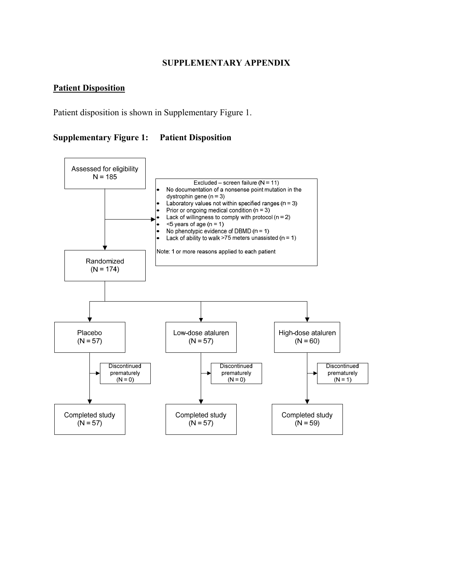#### **SUPPLEMENTARY APPENDIX**

#### **Patient Disposition**

Patient disposition is shown in Supplementary Figure 1.

### **Supplementary Figure 1: Patient Disposition**

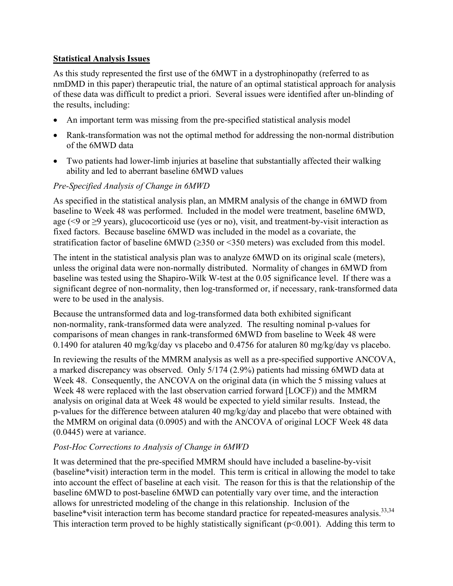#### **Statistical Analysis Issues**

As this study represented the first use of the 6MWT in a dystrophinopathy (referred to as nmDMD in this paper) therapeutic trial, the nature of an optimal statistical approach for analysis of these data was difficult to predict a priori. Several issues were identified after un-blinding of the results, including:

- An important term was missing from the pre-specified statistical analysis model
- Rank-transformation was not the optimal method for addressing the non-normal distribution of the 6MWD data
- Two patients had lower-limb injuries at baseline that substantially affected their walking ability and led to aberrant baseline 6MWD values

## *Pre-Specified Analysis of Change in 6MWD*

As specified in the statistical analysis plan, an MMRM analysis of the change in 6MWD from baseline to Week 48 was performed. Included in the model were treatment, baseline 6MWD, age (<9 or ≥9 years), glucocorticoid use (yes or no), visit, and treatment-by-visit interaction as fixed factors. Because baseline 6MWD was included in the model as a covariate, the stratification factor of baseline 6MWD ( $\geq$ 350 or <350 meters) was excluded from this model.

The intent in the statistical analysis plan was to analyze 6MWD on its original scale (meters), unless the original data were non-normally distributed. Normality of changes in 6MWD from baseline was tested using the Shapiro-Wilk W-test at the 0.05 significance level. If there was a significant degree of non-normality, then log-transformed or, if necessary, rank-transformed data were to be used in the analysis.

Because the untransformed data and log-transformed data both exhibited significant non-normality, rank-transformed data were analyzed. The resulting nominal p-values for comparisons of mean changes in rank-transformed 6MWD from baseline to Week 48 were 0.1490 for ataluren 40 mg/kg/day vs placebo and 0.4756 for ataluren 80 mg/kg/day vs placebo.

In reviewing the results of the MMRM analysis as well as a pre-specified supportive ANCOVA, a marked discrepancy was observed. Only 5/174 (2.9%) patients had missing 6MWD data at Week 48. Consequently, the ANCOVA on the original data (in which the 5 missing values at Week 48 were replaced with the last observation carried forward [LOCF)) and the MMRM analysis on original data at Week 48 would be expected to yield similar results. Instead, the p-values for the difference between ataluren 40 mg/kg/day and placebo that were obtained with the MMRM on original data (0.0905) and with the ANCOVA of original LOCF Week 48 data (0.0445) were at variance.

## *Post-Hoc Corrections to Analysis of Change in 6MWD*

It was determined that the pre-specified MMRM should have included a baseline-by-visit (baseline\*visit) interaction term in the model. This term is critical in allowing the model to take into account the effect of baseline at each visit. The reason for this is that the relationship of the baseline 6MWD to post-baseline 6MWD can potentially vary over time, and the interaction allows for unrestricted modeling of the change in this relationship. Inclusion of the baseline\*visit interaction term has become standard practice for repeated-measures analysis.<sup>33,34</sup> This interaction term proved to be highly statistically significant ( $p<0.001$ ). Adding this term to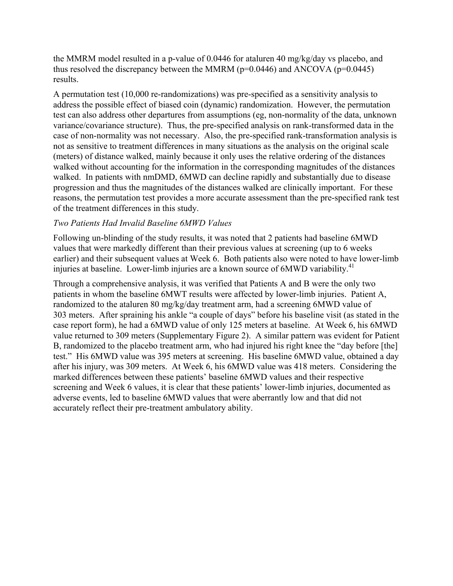the MMRM model resulted in a p-value of 0.0446 for ataluren 40 mg/kg/day vs placebo, and thus resolved the discrepancy between the MMRM ( $p=0.0446$ ) and ANCOVA ( $p=0.0445$ ) results.

A permutation test (10,000 re-randomizations) was pre-specified as a sensitivity analysis to address the possible effect of biased coin (dynamic) randomization. However, the permutation test can also address other departures from assumptions (eg, non-normality of the data, unknown variance/covariance structure). Thus, the pre-specified analysis on rank-transformed data in the case of non-normality was not necessary. Also, the pre-specified rank-transformation analysis is not as sensitive to treatment differences in many situations as the analysis on the original scale (meters) of distance walked, mainly because it only uses the relative ordering of the distances walked without accounting for the information in the corresponding magnitudes of the distances walked. In patients with nmDMD, 6MWD can decline rapidly and substantially due to disease progression and thus the magnitudes of the distances walked are clinically important. For these reasons, the permutation test provides a more accurate assessment than the pre-specified rank test of the treatment differences in this study.

#### *Two Patients Had Invalid Baseline 6MWD Values*

Following un-blinding of the study results, it was noted that 2 patients had baseline 6MWD values that were markedly different than their previous values at screening (up to 6 weeks earlier) and their subsequent values at Week 6. Both patients also were noted to have lower-limb injuries at baseline. Lower-limb injuries are a known source of 6MWD variability.<sup>41</sup>

Through a comprehensive analysis, it was verified that Patients A and B were the only two patients in whom the baseline 6MWT results were affected by lower-limb injuries. Patient A, randomized to the ataluren 80 mg/kg/day treatment arm, had a screening 6MWD value of 303 meters. After spraining his ankle "a couple of days" before his baseline visit (as stated in the case report form), he had a 6MWD value of only 125 meters at baseline. At Week 6, his 6MWD value returned to 309 meters (Supplementary Figure 2). A similar pattern was evident for Patient B, randomized to the placebo treatment arm, who had injured his right knee the "day before [the] test." His 6MWD value was 395 meters at screening. His baseline 6MWD value, obtained a day after his injury, was 309 meters. At Week 6, his 6MWD value was 418 meters. Considering the marked differences between these patients' baseline 6MWD values and their respective screening and Week 6 values, it is clear that these patients' lower-limb injuries, documented as adverse events, led to baseline 6MWD values that were aberrantly low and that did not accurately reflect their pre-treatment ambulatory ability.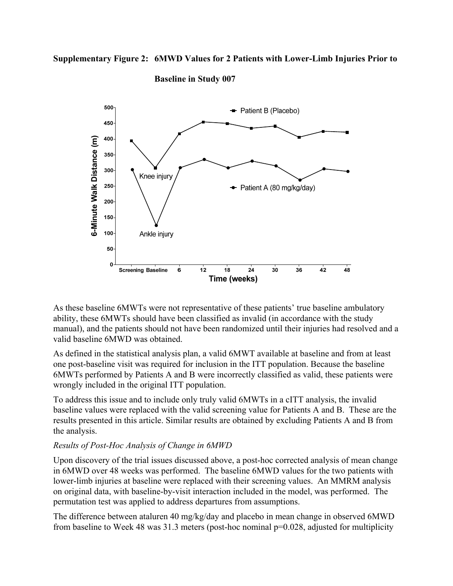#### **Supplementary Figure 2: 6MWD Values for 2 Patients with Lower-Limb Injuries Prior to**



**Baseline in Study 007** 

As these baseline 6MWTs were not representative of these patients' true baseline ambulatory ability, these 6MWTs should have been classified as invalid (in accordance with the study manual), and the patients should not have been randomized until their injuries had resolved and a valid baseline 6MWD was obtained.

As defined in the statistical analysis plan, a valid 6MWT available at baseline and from at least one post-baseline visit was required for inclusion in the ITT population. Because the baseline 6MWTs performed by Patients A and B were incorrectly classified as valid, these patients were wrongly included in the original ITT population.

To address this issue and to include only truly valid 6MWTs in a cITT analysis, the invalid baseline values were replaced with the valid screening value for Patients A and B. These are the results presented in this article. Similar results are obtained by excluding Patients A and B from the analysis.

#### *Results of Post-Hoc Analysis of Change in 6MWD*

Upon discovery of the trial issues discussed above, a post-hoc corrected analysis of mean change in 6MWD over 48 weeks was performed. The baseline 6MWD values for the two patients with lower-limb injuries at baseline were replaced with their screening values. An MMRM analysis on original data, with baseline-by-visit interaction included in the model, was performed. The permutation test was applied to address departures from assumptions.

The difference between ataluren 40 mg/kg/day and placebo in mean change in observed 6MWD from baseline to Week 48 was 31.3 meters (post-hoc nominal p=0.028, adjusted for multiplicity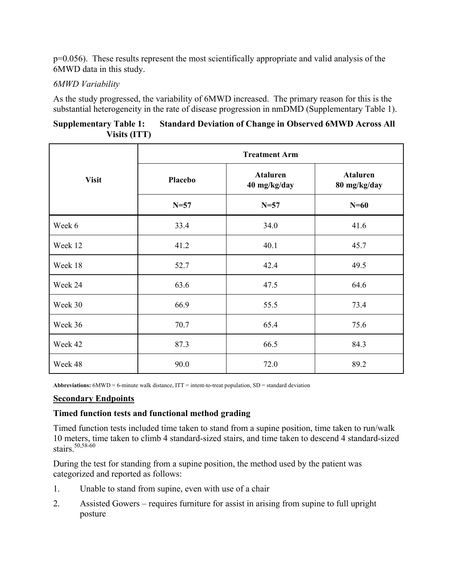p=0.056). These results represent the most scientifically appropriate and valid analysis of the 6MWD data in this study.

#### *6MWD Variability*

As the study progressed, the variability of 6MWD increased. The primary reason for this is the substantial heterogeneity in the rate of disease progression in nmDMD (Supplementary Table 1).

| <b>Supplementary Table 1:</b> | <b>Standard Deviation of Change in Observed 6MWD Across All</b> |
|-------------------------------|-----------------------------------------------------------------|
| Visits (ITT)                  |                                                                 |

|              | <b>Treatment Arm</b> |                                 |                                 |  |  |  |
|--------------|----------------------|---------------------------------|---------------------------------|--|--|--|
| <b>Visit</b> | <b>Placebo</b>       | <b>Ataluren</b><br>40 mg/kg/day | <b>Ataluren</b><br>80 mg/kg/day |  |  |  |
|              | $N=57$               | $N=57$                          | $N=60$                          |  |  |  |
| Week 6       | 33.4                 | 34.0                            | 41.6                            |  |  |  |
| Week 12      | 41.2                 | 40.1                            | 45.7                            |  |  |  |
| Week 18      | 52.7                 | 42.4                            | 49.5                            |  |  |  |
| Week 24      | 63.6                 | 47.5                            | 64.6                            |  |  |  |
| Week 30      | 66.9                 | 55.5                            | 73.4                            |  |  |  |
| Week 36      | 70.7                 | 65.4                            | 75.6                            |  |  |  |
| Week 42      | 87.3                 | 66.5                            | 84.3                            |  |  |  |
| Week 48      | 90.0                 | 72.0                            | 89.2                            |  |  |  |

**Abbreviations:** 6MWD = 6-minute walk distance, ITT = intent-to-treat population, SD = standard deviation

#### **Secondary Endpoints**

#### **Timed function tests and functional method grading**

Timed function tests included time taken to stand from a supine position, time taken to run/walk 10 meters, time taken to climb 4 standard-sized stairs, and time taken to descend 4 standard-sized stairs.  $50,58-60$ 

During the test for standing from a supine position, the method used by the patient was categorized and reported as follows:

- 1. Unable to stand from supine, even with use of a chair
- 2. Assisted Gowers requires furniture for assist in arising from supine to full upright posture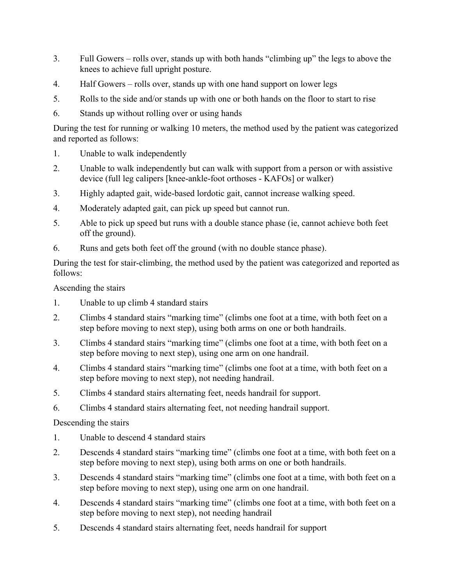- 3. Full Gowers rolls over, stands up with both hands "climbing up" the legs to above the knees to achieve full upright posture.
- 4. Half Gowers rolls over, stands up with one hand support on lower legs
- 5. Rolls to the side and/or stands up with one or both hands on the floor to start to rise
- 6. Stands up without rolling over or using hands

During the test for running or walking 10 meters, the method used by the patient was categorized and reported as follows:

- 1. Unable to walk independently
- 2. Unable to walk independently but can walk with support from a person or with assistive device (full leg calipers [knee-ankle-foot orthoses - KAFOs] or walker)
- 3. Highly adapted gait, wide-based lordotic gait, cannot increase walking speed.
- 4. Moderately adapted gait, can pick up speed but cannot run.
- 5. Able to pick up speed but runs with a double stance phase (ie, cannot achieve both feet off the ground).
- 6. Runs and gets both feet off the ground (with no double stance phase).

During the test for stair-climbing, the method used by the patient was categorized and reported as follows:

Ascending the stairs

- 1. Unable to up climb 4 standard stairs
- 2. Climbs 4 standard stairs "marking time" (climbs one foot at a time, with both feet on a step before moving to next step), using both arms on one or both handrails.
- 3. Climbs 4 standard stairs "marking time" (climbs one foot at a time, with both feet on a step before moving to next step), using one arm on one handrail.
- 4. Climbs 4 standard stairs "marking time" (climbs one foot at a time, with both feet on a step before moving to next step), not needing handrail.
- 5. Climbs 4 standard stairs alternating feet, needs handrail for support.
- 6. Climbs 4 standard stairs alternating feet, not needing handrail support.

Descending the stairs

- 1. Unable to descend 4 standard stairs
- 2. Descends 4 standard stairs "marking time" (climbs one foot at a time, with both feet on a step before moving to next step), using both arms on one or both handrails.
- 3. Descends 4 standard stairs "marking time" (climbs one foot at a time, with both feet on a step before moving to next step), using one arm on one handrail.
- 4. Descends 4 standard stairs "marking time" (climbs one foot at a time, with both feet on a step before moving to next step), not needing handrail
- 5. Descends 4 standard stairs alternating feet, needs handrail for support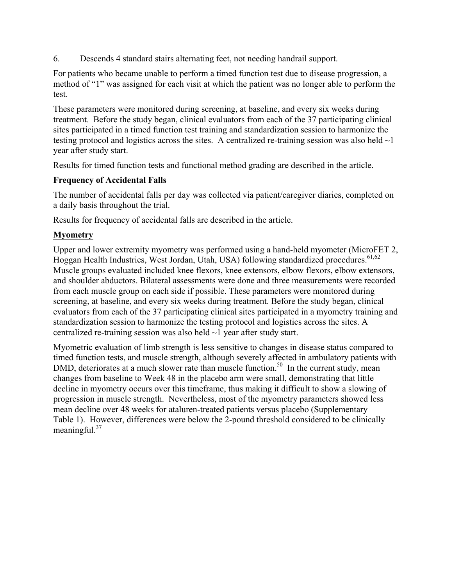6. Descends 4 standard stairs alternating feet, not needing handrail support.

For patients who became unable to perform a timed function test due to disease progression, a method of "1" was assigned for each visit at which the patient was no longer able to perform the test.

These parameters were monitored during screening, at baseline, and every six weeks during treatment. Before the study began, clinical evaluators from each of the 37 participating clinical sites participated in a timed function test training and standardization session to harmonize the testing protocol and logistics across the sites. A centralized re-training session was also held ~1 year after study start.

Results for timed function tests and functional method grading are described in the article.

#### **Frequency of Accidental Falls**

The number of accidental falls per day was collected via patient/caregiver diaries, completed on a daily basis throughout the trial.

Results for frequency of accidental falls are described in the article.

## **Myometry**

Upper and lower extremity myometry was performed using a hand-held myometer (MicroFET 2, Hoggan Health Industries, West Jordan, Utah, USA) following standardized procedures.<sup>61,62</sup> Muscle groups evaluated included knee flexors, knee extensors, elbow flexors, elbow extensors, and shoulder abductors. Bilateral assessments were done and three measurements were recorded from each muscle group on each side if possible. These parameters were monitored during screening, at baseline, and every six weeks during treatment. Before the study began, clinical evaluators from each of the 37 participating clinical sites participated in a myometry training and standardization session to harmonize the testing protocol and logistics across the sites. A centralized re-training session was also held  $\sim$ 1 year after study start.

Myometric evaluation of limb strength is less sensitive to changes in disease status compared to timed function tests, and muscle strength, although severely affected in ambulatory patients with DMD, deteriorates at a much slower rate than muscle function.<sup>50</sup> In the current study, mean changes from baseline to Week 48 in the placebo arm were small, demonstrating that little decline in myometry occurs over this timeframe, thus making it difficult to show a slowing of progression in muscle strength. Nevertheless, most of the myometry parameters showed less mean decline over 48 weeks for ataluren-treated patients versus placebo (Supplementary Table 1). However, differences were below the 2-pound threshold considered to be clinically meaningful. $37$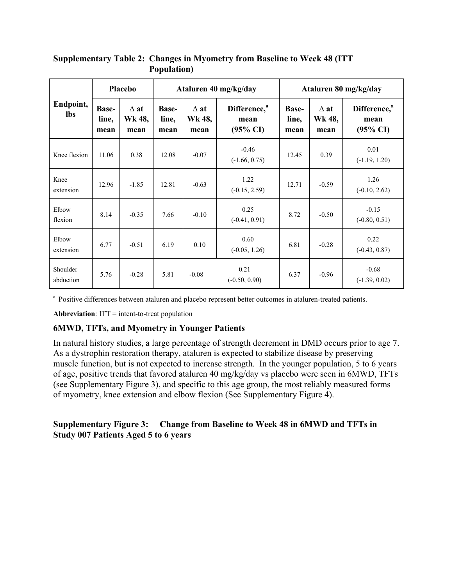|                         | Placebo                       |                               |                               |                               |                                                         |                               | Ataluren 40 mg/kg/day         |                                                         |  | Ataluren 80 mg/kg/day |
|-------------------------|-------------------------------|-------------------------------|-------------------------------|-------------------------------|---------------------------------------------------------|-------------------------------|-------------------------------|---------------------------------------------------------|--|-----------------------|
| Endpoint,<br><b>lbs</b> | <b>Base-</b><br>line,<br>mean | $\Delta$ at<br>Wk 48,<br>mean | <b>Base-</b><br>line,<br>mean | $\Delta$ at<br>Wk 48,<br>mean | Difference, <sup>a</sup><br>mean<br>$(95\% \text{ CI})$ | <b>Base-</b><br>line,<br>mean | $\Delta$ at<br>Wk 48,<br>mean | Difference, <sup>a</sup><br>mean<br>$(95\% \text{ CI})$ |  |                       |
| Knee flexion            | 11.06                         | 0.38                          | 12.08                         | $-0.07$                       | $-0.46$<br>$(-1.66, 0.75)$                              | 12.45                         | 0.39                          | 0.01<br>$(-1.19, 1.20)$                                 |  |                       |
| Knee<br>extension       | 12.96                         | $-1.85$                       | 12.81                         | $-0.63$                       | 1.22<br>$(-0.15, 2.59)$                                 | 12.71                         | $-0.59$                       | 1.26<br>$(-0.10, 2.62)$                                 |  |                       |
| Elbow<br>flexion        | 8.14                          | $-0.35$                       | 7.66                          | $-0.10$                       | 0.25<br>$(-0.41, 0.91)$                                 | 8.72                          | $-0.50$                       | $-0.15$<br>$(-0.80, 0.51)$                              |  |                       |
| Elbow<br>extension      | 6.77                          | $-0.51$                       | 6.19                          | 0.10                          | 0.60<br>$(-0.05, 1.26)$                                 | 6.81                          | $-0.28$                       | 0.22<br>$(-0.43, 0.87)$                                 |  |                       |
| Shoulder<br>abduction   | 5.76                          | $-0.28$                       | 5.81                          | $-0.08$                       | 0.21<br>$(-0.50, 0.90)$                                 | 6.37                          | $-0.96$                       | $-0.68$<br>$(-1.39, 0.02)$                              |  |                       |

#### **Supplementary Table 2: Changes in Myometry from Baseline to Week 48 (ITT Population)**

<sup>a</sup> Positive differences between ataluren and placebo represent better outcomes in ataluren-treated patients.

**Abbreviation**: ITT = intent-to-treat population

#### **6MWD, TFTs, and Myometry in Younger Patients**

In natural history studies, a large percentage of strength decrement in DMD occurs prior to age 7. As a dystrophin restoration therapy, ataluren is expected to stabilize disease by preserving muscle function, but is not expected to increase strength. In the younger population, 5 to 6 years of age, positive trends that favored ataluren 40 mg/kg/day vs placebo were seen in 6MWD, TFTs (see Supplementary Figure 3), and specific to this age group, the most reliably measured forms of myometry, knee extension and elbow flexion (See Supplementary Figure 4).

#### **Supplementary Figure 3: Change from Baseline to Week 48 in 6MWD and TFTs in Study 007 Patients Aged 5 to 6 years**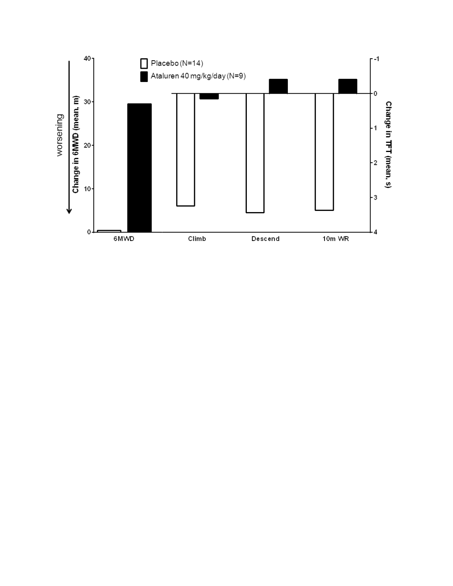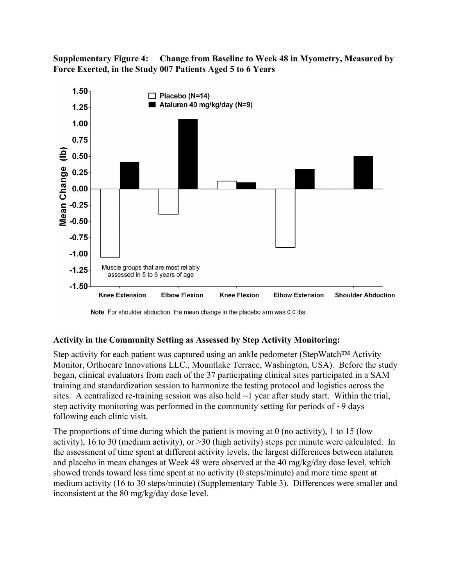**Supplementary Figure 4: Change from Baseline to Week 48 in Myometry, Measured by Force Exerted, in the Study 007 Patients Aged 5 to 6 Years** 



Note: For shoulder abduction, the mean change in the placebo arm was 0.0 lbs.

#### **Activity in the Community Setting as Assessed by Step Activity Monitoring:**

Step activity for each patient was captured using an ankle pedometer (StepWatch™ Activity Monitor, Orthocare Innovations LLC., Mountlake Terrace, Washington, USA). Before the study began, clinical evaluators from each of the 37 participating clinical sites participated in a SAM training and standardization session to harmonize the testing protocol and logistics across the sites. A centralized re-training session was also held  $\sim$ 1 year after study start. Within the trial, step activity monitoring was performed in the community setting for periods of  $\sim$ 9 days following each clinic visit.

The proportions of time during which the patient is moving at 0 (no activity), 1 to 15 (low activity), 16 to 30 (medium activity), or >30 (high activity) steps per minute were calculated. In the assessment of time spent at different activity levels, the largest differences between ataluren and placebo in mean changes at Week 48 were observed at the 40 mg/kg/day dose level, which showed trends toward less time spent at no activity (0 steps/minute) and more time spent at medium activity (16 to 30 steps/minute) (Supplementary Table 3). Differences were smaller and inconsistent at the 80 mg/kg/day dose level.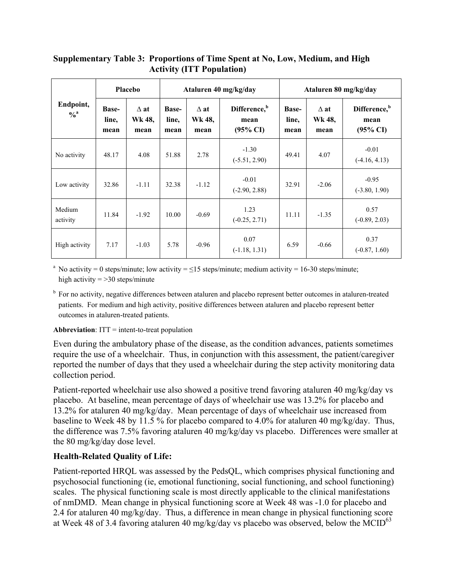|                            |                               | Placebo                       | Ataluren 40 mg/kg/day         |                               |                                                         |                               | Ataluren 80 mg/kg/day         |                                                         |
|----------------------------|-------------------------------|-------------------------------|-------------------------------|-------------------------------|---------------------------------------------------------|-------------------------------|-------------------------------|---------------------------------------------------------|
| Endpoint,<br>$\frac{0}{a}$ | <b>Base-</b><br>line,<br>mean | $\Delta$ at<br>Wk 48,<br>mean | <b>Base-</b><br>line,<br>mean | $\Delta$ at<br>Wk 48,<br>mean | Difference, <sup>b</sup><br>mean<br>$(95\% \text{ CI})$ | <b>Base-</b><br>line,<br>mean | $\Delta$ at<br>Wk 48,<br>mean | Difference, <sup>b</sup><br>mean<br>$(95\% \text{ CI})$ |
| No activity                | 48.17                         | 4.08                          | 51.88                         | 2.78                          | $-1.30$<br>$(-5.51, 2.90)$                              | 49.41                         | 4.07                          | $-0.01$<br>$(-4.16, 4.13)$                              |
| Low activity               | 32.86                         | $-1.11$                       | 32.38                         | $-1.12$                       | $-0.01$<br>$(-2.90, 2.88)$                              | 32.91                         | $-2.06$                       | $-0.95$<br>$(-3.80, 1.90)$                              |
| Medium<br>activity         | 11.84                         | $-1.92$                       | 10.00                         | $-0.69$                       | 1.23<br>$(-0.25, 2.71)$                                 | 11.11                         | $-1.35$                       | 0.57<br>$(-0.89, 2.03)$                                 |
| High activity              | 7.17                          | $-1.03$                       | 5.78                          | $-0.96$                       | 0.07<br>$(-1.18, 1.31)$                                 | 6.59                          | $-0.66$                       | 0.37<br>$(-0.87, 1.60)$                                 |

## **Supplementary Table 3: Proportions of Time Spent at No, Low, Medium, and High Activity (ITT Population)**

<sup>a</sup> No activity = 0 steps/minute; low activity =  $\leq$ 15 steps/minute; medium activity = 16-30 steps/minute; high activity  $=$  >30 steps/minute

<sup>b</sup> For no activity, negative differences between ataluren and placebo represent better outcomes in ataluren-treated patients. For medium and high activity, positive differences between ataluren and placebo represent better outcomes in ataluren-treated patients.

#### **Abbreviation**: ITT = intent-to-treat population

Even during the ambulatory phase of the disease, as the condition advances, patients sometimes require the use of a wheelchair. Thus, in conjunction with this assessment, the patient/caregiver reported the number of days that they used a wheelchair during the step activity monitoring data collection period.

Patient-reported wheelchair use also showed a positive trend favoring ataluren 40 mg/kg/day vs placebo. At baseline, mean percentage of days of wheelchair use was 13.2% for placebo and 13.2% for ataluren 40 mg/kg/day. Mean percentage of days of wheelchair use increased from baseline to Week 48 by 11.5 % for placebo compared to 4.0% for ataluren 40 mg/kg/day. Thus, the difference was 7.5% favoring ataluren 40 mg/kg/day vs placebo. Differences were smaller at the 80 mg/kg/day dose level.

#### **Health-Related Quality of Life:**

Patient-reported HRQL was assessed by the PedsQL, which comprises physical functioning and psychosocial functioning (ie, emotional functioning, social functioning, and school functioning) scales. The physical functioning scale is most directly applicable to the clinical manifestations of nmDMD. Mean change in physical functioning score at Week 48 was -1.0 for placebo and 2.4 for ataluren 40 mg/kg/day. Thus, a difference in mean change in physical functioning score at Week 48 of 3.4 favoring ataluren 40 mg/kg/day vs placebo was observed, below the MCID<sup>63</sup>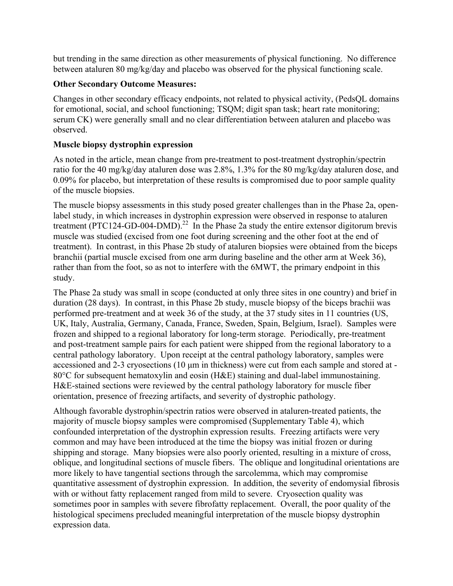but trending in the same direction as other measurements of physical functioning. No difference between ataluren 80 mg/kg/day and placebo was observed for the physical functioning scale.

#### **Other Secondary Outcome Measures:**

Changes in other secondary efficacy endpoints, not related to physical activity, (PedsQL domains for emotional, social, and school functioning; TSQM; digit span task; heart rate monitoring; serum CK) were generally small and no clear differentiation between ataluren and placebo was observed.

#### **Muscle biopsy dystrophin expression**

As noted in the article, mean change from pre-treatment to post-treatment dystrophin/spectrin ratio for the 40 mg/kg/day ataluren dose was 2.8%, 1.3% for the 80 mg/kg/day ataluren dose, and 0.09% for placebo, but interpretation of these results is compromised due to poor sample quality of the muscle biopsies.

The muscle biopsy assessments in this study posed greater challenges than in the Phase 2a, openlabel study, in which increases in dystrophin expression were observed in response to ataluren treatment (PTC124-GD-004-DMD).<sup>22</sup> In the Phase 2a study the entire extensor digitorum brevis muscle was studied (excised from one foot during screening and the other foot at the end of treatment). In contrast, in this Phase 2b study of ataluren biopsies were obtained from the biceps branchii (partial muscle excised from one arm during baseline and the other arm at Week 36), rather than from the foot, so as not to interfere with the 6MWT, the primary endpoint in this study.

The Phase 2a study was small in scope (conducted at only three sites in one country) and brief in duration (28 days). In contrast, in this Phase 2b study, muscle biopsy of the biceps brachii was performed pre-treatment and at week 36 of the study, at the 37 study sites in 11 countries (US, UK, Italy, Australia, Germany, Canada, France, Sweden, Spain, Belgium, Israel). Samples were frozen and shipped to a regional laboratory for long-term storage. Periodically, pre-treatment and post-treatment sample pairs for each patient were shipped from the regional laboratory to a central pathology laboratory. Upon receipt at the central pathology laboratory, samples were accessioned and 2-3 cryosections (10 μm in thickness) were cut from each sample and stored at - 80°C for subsequent hematoxylin and eosin (H&E) staining and dual-label immunostaining. H&E-stained sections were reviewed by the central pathology laboratory for muscle fiber orientation, presence of freezing artifacts, and severity of dystrophic pathology.

Although favorable dystrophin/spectrin ratios were observed in ataluren-treated patients, the majority of muscle biopsy samples were compromised (Supplementary Table 4), which confounded interpretation of the dystrophin expression results. Freezing artifacts were very common and may have been introduced at the time the biopsy was initial frozen or during shipping and storage. Many biopsies were also poorly oriented, resulting in a mixture of cross, oblique, and longitudinal sections of muscle fibers. The oblique and longitudinal orientations are more likely to have tangential sections through the sarcolemma, which may compromise quantitative assessment of dystrophin expression. In addition, the severity of endomysial fibrosis with or without fatty replacement ranged from mild to severe. Cryosection quality was sometimes poor in samples with severe fibrofatty replacement. Overall, the poor quality of the histological specimens precluded meaningful interpretation of the muscle biopsy dystrophin expression data.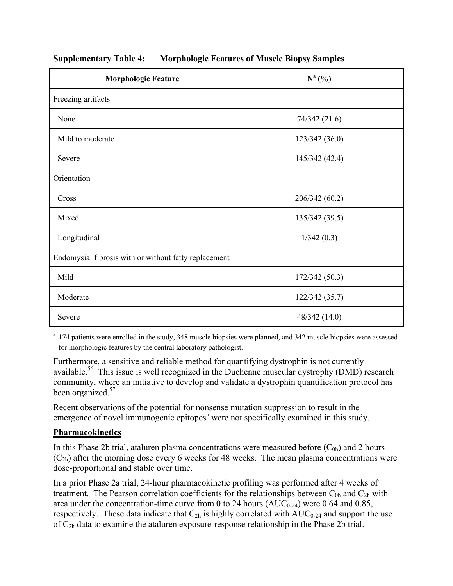| <b>Morphologic Feature</b>                            | $N^a$ (%)      |
|-------------------------------------------------------|----------------|
| Freezing artifacts                                    |                |
| None                                                  | 74/342 (21.6)  |
| Mild to moderate                                      | 123/342 (36.0) |
| Severe                                                | 145/342 (42.4) |
| Orientation                                           |                |
| Cross                                                 | 206/342 (60.2) |
| Mixed                                                 | 135/342 (39.5) |
| Longitudinal                                          | 1/342(0.3)     |
| Endomysial fibrosis with or without fatty replacement |                |
| Mild                                                  | 172/342 (50.3) |
| Moderate                                              | 122/342 (35.7) |
| Severe                                                | 48/342 (14.0)  |

#### **Supplementary Table 4: Morphologic Features of Muscle Biopsy Samples**

<sup>a</sup> 174 patients were enrolled in the study, 348 muscle biopsies were planned, and 342 muscle biopsies were assessed for morphologic features by the central laboratory pathologist.

Furthermore, a sensitive and reliable method for quantifying dystrophin is not currently available.<sup>56</sup> This issue is well recognized in the Duchenne muscular dystrophy (DMD) research community, where an initiative to develop and validate a dystrophin quantification protocol has been organized.<sup>57</sup>

Recent observations of the potential for nonsense mutation suppression to result in the emergence of novel immunogenic epitopes<sup>5</sup> were not specifically examined in this study.

#### **Pharmacokinetics**

In this Phase 2b trial, ataluren plasma concentrations were measured before  $(C_{0h})$  and 2 hours  $(C_{2h})$  after the morning dose every 6 weeks for 48 weeks. The mean plasma concentrations were dose-proportional and stable over time.

In a prior Phase 2a trial, 24-hour pharmacokinetic profiling was performed after 4 weeks of treatment. The Pearson correlation coefficients for the relationships between  $C_{0h}$  and  $C_{2h}$  with area under the concentration-time curve from 0 to 24 hours  $(AUC_{0-24})$  were 0.64 and 0.85, respectively. These data indicate that  $C_{2h}$  is highly correlated with  $AUC_{0.24}$  and support the use of  $C_{2h}$  data to examine the ataluren exposure-response relationship in the Phase 2b trial.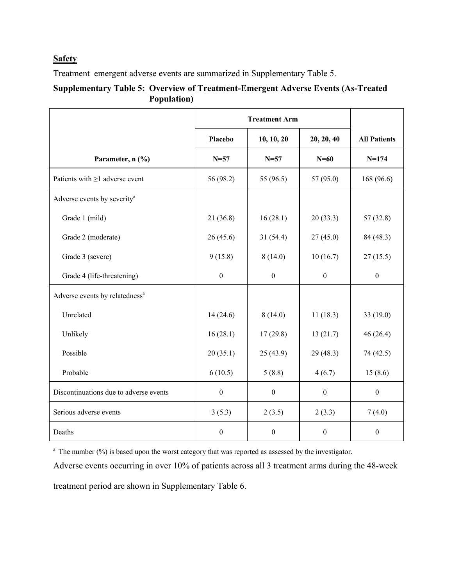## **Safety**

Treatment–emergent adverse events are summarized in Supplementary Table 5.

#### **Supplementary Table 5: Overview of Treatment-Emergent Adverse Events (As-Treated Population)**

|                                            | <b>Treatment Arm</b> |                  |                  |                     |
|--------------------------------------------|----------------------|------------------|------------------|---------------------|
|                                            | Placebo              | 10, 10, 20       | 20, 20, 40       | <b>All Patients</b> |
| Parameter, n (%)                           | $N = 57$             | $N=57$           | $N=60$           | $N = 174$           |
| Patients with $\geq 1$ adverse event       | 56 (98.2)            | 55 (96.5)        | 57 (95.0)        | 168 (96.6)          |
| Adverse events by severity <sup>a</sup>    |                      |                  |                  |                     |
| Grade 1 (mild)                             | 21(36.8)             | 16(28.1)         | 20(33.3)         | 57(32.8)            |
| Grade 2 (moderate)                         | 26(45.6)             | 31 (54.4)        | 27(45.0)         | 84 (48.3)           |
| Grade 3 (severe)                           | 9(15.8)              | 8(14.0)          | 10(16.7)         | 27(15.5)            |
| Grade 4 (life-threatening)                 | $\boldsymbol{0}$     | $\boldsymbol{0}$ | $\boldsymbol{0}$ | $\boldsymbol{0}$    |
| Adverse events by relatedness <sup>a</sup> |                      |                  |                  |                     |
| Unrelated                                  | 14(24.6)             | 8(14.0)          | 11(18.3)         | 33 (19.0)           |
| Unlikely                                   | 16(28.1)             | 17(29.8)         | 13(21.7)         | 46(26.4)            |
| Possible                                   | 20(35.1)             | 25(43.9)         | 29 (48.3)        | 74 (42.5)           |
| Probable                                   | 6(10.5)              | 5(8.8)           | 4(6.7)           | 15(8.6)             |
| Discontinuations due to adverse events     | $\boldsymbol{0}$     | $\boldsymbol{0}$ | $\boldsymbol{0}$ | $\boldsymbol{0}$    |
| Serious adverse events                     | 3(5.3)               | 2(3.5)           | 2(3.3)           | 7(4.0)              |
| Deaths                                     | $\boldsymbol{0}$     | $\boldsymbol{0}$ | $\boldsymbol{0}$ | $\boldsymbol{0}$    |

<sup>a</sup> The number (%) is based upon the worst category that was reported as assessed by the investigator.

Adverse events occurring in over 10% of patients across all 3 treatment arms during the 48-week

treatment period are shown in Supplementary Table 6.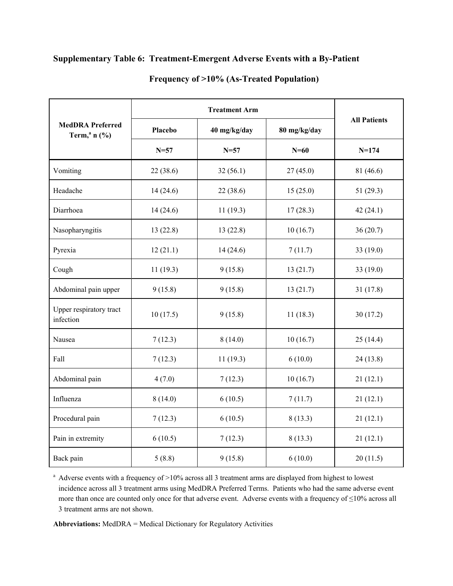#### **Supplementary Table 6: Treatment-Emergent Adverse Events with a By-Patient**

| <b>MedDRA Preferred</b><br>Term, <sup>a</sup> n $(\%$ | Placebo  | 40 mg/kg/day | 80 mg/kg/day | <b>All Patients</b> |
|-------------------------------------------------------|----------|--------------|--------------|---------------------|
|                                                       | $N=57$   | $N=57$       | $N=60$       | $N = 174$           |
| Vomiting                                              | 22(38.6) | 32(56.1)     | 27(45.0)     | 81 (46.6)           |
| Headache                                              | 14(24.6) | 22(38.6)     | 15(25.0)     | 51(29.3)            |
| Diarrhoea                                             | 14(24.6) | 11(19.3)     | 17(28.3)     | 42(24.1)            |
| Nasopharyngitis                                       | 13(22.8) | 13(22.8)     | 10(16.7)     | 36(20.7)            |
| Pyrexia                                               | 12(21.1) | 14(24.6)     | 7(11.7)      | 33(19.0)            |
| Cough                                                 | 11(19.3) | 9(15.8)      | 13(21.7)     | 33(19.0)            |
| Abdominal pain upper                                  | 9(15.8)  | 9(15.8)      | 13(21.7)     | 31(17.8)            |
| Upper respiratory tract<br>infection                  | 10(17.5) | 9(15.8)      | 11(18.3)     | 30(17.2)            |
| Nausea                                                | 7(12.3)  | 8(14.0)      | 10(16.7)     | 25(14.4)            |
| Fall                                                  | 7(12.3)  | 11(19.3)     | 6(10.0)      | 24(13.8)            |
| Abdominal pain                                        | 4(7.0)   | 7(12.3)      | 10(16.7)     | 21(12.1)            |
| Influenza                                             | 8(14.0)  | 6(10.5)      | 7(11.7)      | 21(12.1)            |
| Procedural pain                                       | 7(12.3)  | 6(10.5)      | 8(13.3)      | 21(12.1)            |
| Pain in extremity                                     | 6(10.5)  | 7(12.3)      | 8(13.3)      | 21(12.1)            |
| Back pain                                             | 5(8.8)   | 9(15.8)      | 6(10.0)      | 20(11.5)            |

## **Frequency of >10% (As-Treated Population)**

<sup>a</sup> Adverse events with a frequency of  $>10\%$  across all 3 treatment arms are displayed from highest to lowest incidence across all 3 treatment arms using MedDRA Preferred Terms. Patients who had the same adverse event more than once are counted only once for that adverse event. Adverse events with a frequency of ≤10% across all 3 treatment arms are not shown.

**Abbreviations:** MedDRA = Medical Dictionary for Regulatory Activities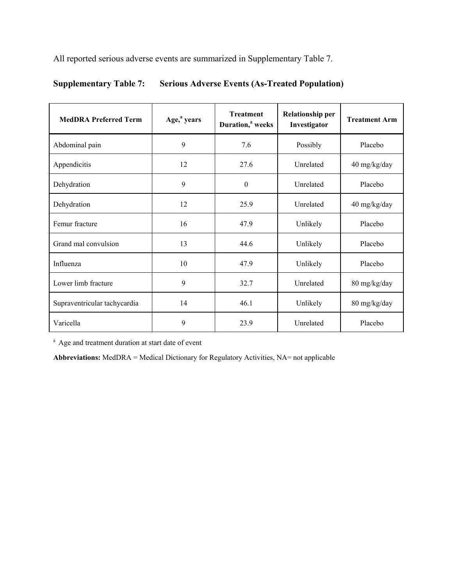All reported serious adverse events are summarized in Supplementary Table 7.

| <b>MedDRA Preferred Term</b> | Age, <sup>a</sup> years | <b>Treatment</b><br>Duration, <sup>a</sup> weeks | <b>Relationship per</b><br>Investigator | <b>Treatment Arm</b> |
|------------------------------|-------------------------|--------------------------------------------------|-----------------------------------------|----------------------|
| Abdominal pain               | 9                       | 7.6                                              | Possibly                                | Placebo              |
| Appendicitis                 | 12                      | 27.6                                             | Unrelated                               | 40 mg/kg/day         |
| Dehydration                  | 9                       | $\boldsymbol{0}$                                 | Unrelated                               | Placebo              |
| Dehydration                  | 12                      | 25.9                                             | Unrelated                               | 40 mg/kg/day         |
| Femur fracture               | 16                      | 47.9                                             | Unlikely                                | Placebo              |
| Grand mal convulsion         | 13                      | 44.6                                             | Unlikely                                | Placebo              |
| Influenza                    | 10                      | 47.9                                             | Unlikely                                | Placebo              |
| Lower limb fracture          | 9                       | 32.7                                             | Unrelated                               | 80 mg/kg/day         |
| Supraventricular tachycardia | 14                      | 46.1                                             | Unlikely                                | 80 mg/kg/day         |
| Varicella                    | 9                       | 23.9                                             | Unrelated                               | Placebo              |

## **Supplementary Table 7: Serious Adverse Events (As-Treated Population)**

<sup>a</sup> Age and treatment duration at start date of event

**Abbreviations:** MedDRA = Medical Dictionary for Regulatory Activities, NA= not applicable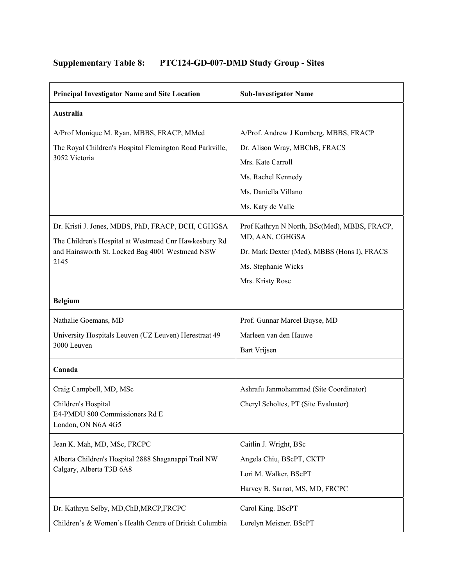# **Supplementary Table 8: PTC124-GD-007-DMD Study Group - Sites**

| <b>Principal Investigator Name and Site Location</b>                                                                                                                                                                                                                                             | <b>Sub-Investigator Name</b>                                                                                                                                                                                                                                                                             |  |  |
|--------------------------------------------------------------------------------------------------------------------------------------------------------------------------------------------------------------------------------------------------------------------------------------------------|----------------------------------------------------------------------------------------------------------------------------------------------------------------------------------------------------------------------------------------------------------------------------------------------------------|--|--|
| Australia                                                                                                                                                                                                                                                                                        |                                                                                                                                                                                                                                                                                                          |  |  |
| A/Prof Monique M. Ryan, MBBS, FRACP, MMed<br>The Royal Children's Hospital Flemington Road Parkville,<br>3052 Victoria<br>Dr. Kristi J. Jones, MBBS, PhD, FRACP, DCH, CGHGSA<br>The Children's Hospital at Westmead Cnr Hawkesbury Rd<br>and Hainsworth St. Locked Bag 4001 Westmead NSW<br>2145 | A/Prof. Andrew J Kornberg, MBBS, FRACP<br>Dr. Alison Wray, MBChB, FRACS<br>Mrs. Kate Carroll<br>Ms. Rachel Kennedy<br>Ms. Daniella Villano<br>Ms. Katy de Valle<br>Prof Kathryn N North, BSc(Med), MBBS, FRACP,<br>MD, AAN, CGHGSA<br>Dr. Mark Dexter (Med), MBBS (Hons I), FRACS<br>Ms. Stephanie Wicks |  |  |
|                                                                                                                                                                                                                                                                                                  | Mrs. Kristy Rose                                                                                                                                                                                                                                                                                         |  |  |
| <b>Belgium</b>                                                                                                                                                                                                                                                                                   |                                                                                                                                                                                                                                                                                                          |  |  |
| Nathalie Goemans, MD<br>University Hospitals Leuven (UZ Leuven) Herestraat 49<br>3000 Leuven                                                                                                                                                                                                     | Prof. Gunnar Marcel Buyse, MD<br>Marleen van den Hauwe<br>Bart Vrijsen                                                                                                                                                                                                                                   |  |  |
| Canada                                                                                                                                                                                                                                                                                           |                                                                                                                                                                                                                                                                                                          |  |  |
| Craig Campbell, MD, MSc<br>Children's Hospital<br>E4-PMDU 800 Commissioners Rd E<br>London, ON N6A 4G5                                                                                                                                                                                           | Ashrafu Janmohammad (Site Coordinator)<br>Cheryl Scholtes, PT (Site Evaluator)                                                                                                                                                                                                                           |  |  |
| Jean K. Mah, MD, MSc, FRCPC<br>Alberta Children's Hospital 2888 Shaganappi Trail NW<br>Calgary, Alberta T3B 6A8                                                                                                                                                                                  | Caitlin J. Wright, BSc<br>Angela Chiu, BScPT, CKTP<br>Lori M. Walker, BScPT<br>Harvey B. Sarnat, MS, MD, FRCPC                                                                                                                                                                                           |  |  |
| Dr. Kathryn Selby, MD, ChB, MRCP, FRCPC<br>Children's & Women's Health Centre of British Columbia                                                                                                                                                                                                | Carol King. BScPT<br>Lorelyn Meisner. BScPT                                                                                                                                                                                                                                                              |  |  |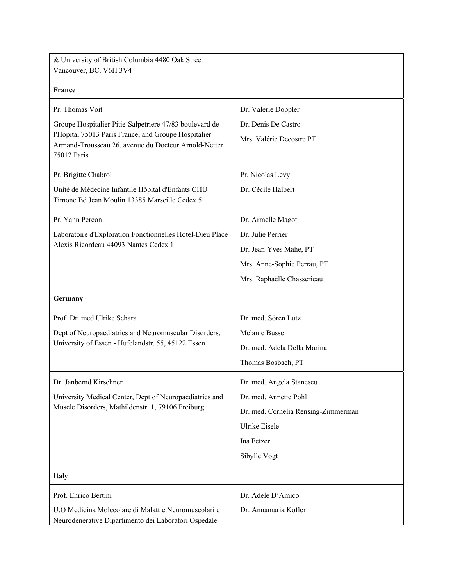| & University of British Columbia 4480 Oak Street<br>Vancouver, BC, V6H 3V4<br>France<br>Pr. Thomas Voit<br>Dr. Valérie Doppler<br>Groupe Hospitalier Pitie-Salpetriere 47/83 boulevard de<br>Dr. Denis De Castro<br>l'Hopital 75013 Paris France, and Groupe Hospitalier<br>Mrs. Valérie Decostre PT<br>Armand-Trousseau 26, avenue du Docteur Arnold-Netter<br>75012 Paris<br>Pr. Brigitte Chabrol<br>Pr. Nicolas Levy<br>Dr. Cécile Halbert<br>Unité de Médecine Infantile Hôpital d'Enfants CHU<br>Timone Bd Jean Moulin 13385 Marseille Cedex 5<br>Pr. Yann Pereon<br>Dr. Armelle Magot<br>Dr. Julie Perrier<br>Laboratoire d'Exploration Fonctionnelles Hotel-Dieu Place<br>Alexis Ricordeau 44093 Nantes Cedex 1<br>Dr. Jean-Yves Mahe, PT<br>Mrs. Anne-Sophie Perrau, PT<br>Mrs. Raphaëlle Chasserieau<br>Germany<br>Prof. Dr. med Ulrike Schara<br>Dr. med. Sören Lutz<br>Dept of Neuropaediatrics and Neuromuscular Disorders,<br>Melanie Busse<br>University of Essen - Hufelandstr. 55, 45122 Essen<br>Dr. med. Adela Della Marina<br>Thomas Bosbach, PT<br>Dr. med. Angela Stanescu<br>Dr. Janbernd Kirschner<br>University Medical Center, Dept of Neuropaediatrics and<br>Dr. med. Annette Pohl<br>Muscle Disorders, Mathildenstr. 1, 79106 Freiburg<br>Dr. med. Cornelia Rensing-Zimmerman<br>Ulrike Eisele<br>Ina Fetzer<br>Sibylle Vogt<br><b>Italy</b><br>Prof. Enrico Bertini<br>Dr. Adele D'Amico<br>U.O Medicina Molecolare di Malattie Neuromuscolari e<br>Dr. Annamaria Kofler<br>Neurodenerative Dipartimento dei Laboratori Ospedale |  |  |
|---------------------------------------------------------------------------------------------------------------------------------------------------------------------------------------------------------------------------------------------------------------------------------------------------------------------------------------------------------------------------------------------------------------------------------------------------------------------------------------------------------------------------------------------------------------------------------------------------------------------------------------------------------------------------------------------------------------------------------------------------------------------------------------------------------------------------------------------------------------------------------------------------------------------------------------------------------------------------------------------------------------------------------------------------------------------------------------------------------------------------------------------------------------------------------------------------------------------------------------------------------------------------------------------------------------------------------------------------------------------------------------------------------------------------------------------------------------------------------------------------------------------------------------------------------------|--|--|
|                                                                                                                                                                                                                                                                                                                                                                                                                                                                                                                                                                                                                                                                                                                                                                                                                                                                                                                                                                                                                                                                                                                                                                                                                                                                                                                                                                                                                                                                                                                                                               |  |  |
|                                                                                                                                                                                                                                                                                                                                                                                                                                                                                                                                                                                                                                                                                                                                                                                                                                                                                                                                                                                                                                                                                                                                                                                                                                                                                                                                                                                                                                                                                                                                                               |  |  |
|                                                                                                                                                                                                                                                                                                                                                                                                                                                                                                                                                                                                                                                                                                                                                                                                                                                                                                                                                                                                                                                                                                                                                                                                                                                                                                                                                                                                                                                                                                                                                               |  |  |
|                                                                                                                                                                                                                                                                                                                                                                                                                                                                                                                                                                                                                                                                                                                                                                                                                                                                                                                                                                                                                                                                                                                                                                                                                                                                                                                                                                                                                                                                                                                                                               |  |  |
|                                                                                                                                                                                                                                                                                                                                                                                                                                                                                                                                                                                                                                                                                                                                                                                                                                                                                                                                                                                                                                                                                                                                                                                                                                                                                                                                                                                                                                                                                                                                                               |  |  |
|                                                                                                                                                                                                                                                                                                                                                                                                                                                                                                                                                                                                                                                                                                                                                                                                                                                                                                                                                                                                                                                                                                                                                                                                                                                                                                                                                                                                                                                                                                                                                               |  |  |
|                                                                                                                                                                                                                                                                                                                                                                                                                                                                                                                                                                                                                                                                                                                                                                                                                                                                                                                                                                                                                                                                                                                                                                                                                                                                                                                                                                                                                                                                                                                                                               |  |  |
|                                                                                                                                                                                                                                                                                                                                                                                                                                                                                                                                                                                                                                                                                                                                                                                                                                                                                                                                                                                                                                                                                                                                                                                                                                                                                                                                                                                                                                                                                                                                                               |  |  |
|                                                                                                                                                                                                                                                                                                                                                                                                                                                                                                                                                                                                                                                                                                                                                                                                                                                                                                                                                                                                                                                                                                                                                                                                                                                                                                                                                                                                                                                                                                                                                               |  |  |
|                                                                                                                                                                                                                                                                                                                                                                                                                                                                                                                                                                                                                                                                                                                                                                                                                                                                                                                                                                                                                                                                                                                                                                                                                                                                                                                                                                                                                                                                                                                                                               |  |  |
|                                                                                                                                                                                                                                                                                                                                                                                                                                                                                                                                                                                                                                                                                                                                                                                                                                                                                                                                                                                                                                                                                                                                                                                                                                                                                                                                                                                                                                                                                                                                                               |  |  |
|                                                                                                                                                                                                                                                                                                                                                                                                                                                                                                                                                                                                                                                                                                                                                                                                                                                                                                                                                                                                                                                                                                                                                                                                                                                                                                                                                                                                                                                                                                                                                               |  |  |
|                                                                                                                                                                                                                                                                                                                                                                                                                                                                                                                                                                                                                                                                                                                                                                                                                                                                                                                                                                                                                                                                                                                                                                                                                                                                                                                                                                                                                                                                                                                                                               |  |  |
|                                                                                                                                                                                                                                                                                                                                                                                                                                                                                                                                                                                                                                                                                                                                                                                                                                                                                                                                                                                                                                                                                                                                                                                                                                                                                                                                                                                                                                                                                                                                                               |  |  |
|                                                                                                                                                                                                                                                                                                                                                                                                                                                                                                                                                                                                                                                                                                                                                                                                                                                                                                                                                                                                                                                                                                                                                                                                                                                                                                                                                                                                                                                                                                                                                               |  |  |
|                                                                                                                                                                                                                                                                                                                                                                                                                                                                                                                                                                                                                                                                                                                                                                                                                                                                                                                                                                                                                                                                                                                                                                                                                                                                                                                                                                                                                                                                                                                                                               |  |  |
|                                                                                                                                                                                                                                                                                                                                                                                                                                                                                                                                                                                                                                                                                                                                                                                                                                                                                                                                                                                                                                                                                                                                                                                                                                                                                                                                                                                                                                                                                                                                                               |  |  |
|                                                                                                                                                                                                                                                                                                                                                                                                                                                                                                                                                                                                                                                                                                                                                                                                                                                                                                                                                                                                                                                                                                                                                                                                                                                                                                                                                                                                                                                                                                                                                               |  |  |
|                                                                                                                                                                                                                                                                                                                                                                                                                                                                                                                                                                                                                                                                                                                                                                                                                                                                                                                                                                                                                                                                                                                                                                                                                                                                                                                                                                                                                                                                                                                                                               |  |  |
|                                                                                                                                                                                                                                                                                                                                                                                                                                                                                                                                                                                                                                                                                                                                                                                                                                                                                                                                                                                                                                                                                                                                                                                                                                                                                                                                                                                                                                                                                                                                                               |  |  |
|                                                                                                                                                                                                                                                                                                                                                                                                                                                                                                                                                                                                                                                                                                                                                                                                                                                                                                                                                                                                                                                                                                                                                                                                                                                                                                                                                                                                                                                                                                                                                               |  |  |
|                                                                                                                                                                                                                                                                                                                                                                                                                                                                                                                                                                                                                                                                                                                                                                                                                                                                                                                                                                                                                                                                                                                                                                                                                                                                                                                                                                                                                                                                                                                                                               |  |  |
|                                                                                                                                                                                                                                                                                                                                                                                                                                                                                                                                                                                                                                                                                                                                                                                                                                                                                                                                                                                                                                                                                                                                                                                                                                                                                                                                                                                                                                                                                                                                                               |  |  |
|                                                                                                                                                                                                                                                                                                                                                                                                                                                                                                                                                                                                                                                                                                                                                                                                                                                                                                                                                                                                                                                                                                                                                                                                                                                                                                                                                                                                                                                                                                                                                               |  |  |
|                                                                                                                                                                                                                                                                                                                                                                                                                                                                                                                                                                                                                                                                                                                                                                                                                                                                                                                                                                                                                                                                                                                                                                                                                                                                                                                                                                                                                                                                                                                                                               |  |  |
|                                                                                                                                                                                                                                                                                                                                                                                                                                                                                                                                                                                                                                                                                                                                                                                                                                                                                                                                                                                                                                                                                                                                                                                                                                                                                                                                                                                                                                                                                                                                                               |  |  |
|                                                                                                                                                                                                                                                                                                                                                                                                                                                                                                                                                                                                                                                                                                                                                                                                                                                                                                                                                                                                                                                                                                                                                                                                                                                                                                                                                                                                                                                                                                                                                               |  |  |
|                                                                                                                                                                                                                                                                                                                                                                                                                                                                                                                                                                                                                                                                                                                                                                                                                                                                                                                                                                                                                                                                                                                                                                                                                                                                                                                                                                                                                                                                                                                                                               |  |  |
|                                                                                                                                                                                                                                                                                                                                                                                                                                                                                                                                                                                                                                                                                                                                                                                                                                                                                                                                                                                                                                                                                                                                                                                                                                                                                                                                                                                                                                                                                                                                                               |  |  |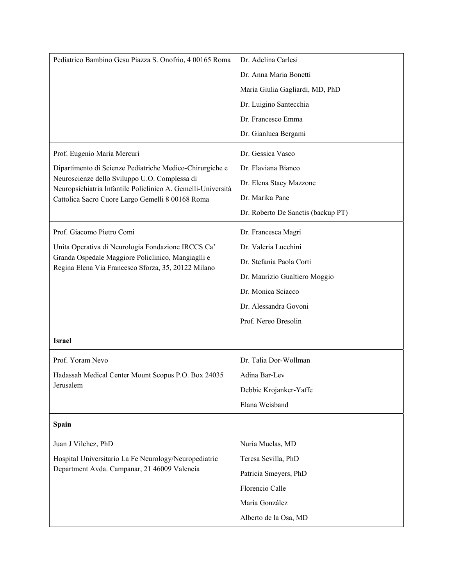| Pediatrico Bambino Gesu Piazza S. Onofrio, 4 00165 Roma                                                       | Dr. Adelina Carlesi                |
|---------------------------------------------------------------------------------------------------------------|------------------------------------|
|                                                                                                               | Dr. Anna Maria Bonetti             |
|                                                                                                               | Maria Giulia Gagliardi, MD, PhD    |
|                                                                                                               | Dr. Luigino Santecchia             |
|                                                                                                               | Dr. Francesco Emma                 |
|                                                                                                               | Dr. Gianluca Bergami               |
| Prof. Eugenio Maria Mercuri                                                                                   | Dr. Gessica Vasco                  |
| Dipartimento di Scienze Pediatriche Medico-Chirurgiche e                                                      | Dr. Flaviana Bianco                |
| Neuroscienze dello Sviluppo U.O. Complessa di<br>Neuropsichiatria Infantile Policlinico A. Gemelli-Università | Dr. Elena Stacy Mazzone            |
| Cattolica Sacro Cuore Largo Gemelli 8 00168 Roma                                                              | Dr. Marika Pane                    |
|                                                                                                               | Dr. Roberto De Sanctis (backup PT) |
| Prof. Giacomo Pietro Comi                                                                                     | Dr. Francesca Magri                |
| Unita Operativa di Neurologia Fondazione IRCCS Ca'                                                            | Dr. Valeria Lucchini               |
| Granda Ospedale Maggiore Policlinico, Mangiaglli e<br>Regina Elena Via Francesco Sforza, 35, 20122 Milano     | Dr. Stefania Paola Corti           |
|                                                                                                               | Dr. Maurizio Gualtiero Moggio      |
|                                                                                                               | Dr. Monica Sciacco                 |
|                                                                                                               | Dr. Alessandra Govoni              |
|                                                                                                               | Prof. Nereo Bresolin               |
| <b>Israel</b>                                                                                                 |                                    |
| Prof. Yoram Nevo                                                                                              | Dr. Talia Dor-Wollman              |
| Hadassah Medical Center Mount Scopus P.O. Box 24035                                                           | Adina Bar-Lev                      |
| Jerusalem                                                                                                     | Debbie Krojanker-Yaffe             |
|                                                                                                               | Elana Weisband                     |
| Spain                                                                                                         |                                    |
| Juan J Vilchez, PhD                                                                                           | Nuria Muelas, MD                   |
| Hospital Universitario La Fe Neurology/Neuropediatric                                                         | Teresa Sevilla, PhD                |
| Department Avda. Campanar, 21 46009 Valencia                                                                  | Patricia Smeyers, PhD              |
|                                                                                                               | Florencio Calle                    |
|                                                                                                               | María González                     |
|                                                                                                               | Alberto de la Osa, MD              |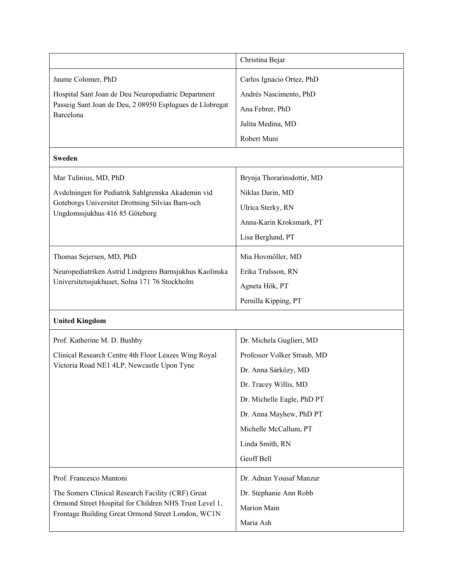|                                                                                                                                                                                              | Christina Bejar                                                                                                                                                                                                             |
|----------------------------------------------------------------------------------------------------------------------------------------------------------------------------------------------|-----------------------------------------------------------------------------------------------------------------------------------------------------------------------------------------------------------------------------|
| Jaume Colomer, PhD<br>Hospital Sant Joan de Deu Neuropediatric Department<br>Passeig Sant Joan de Deu, 2 08950 Esplugues de Llobregat<br>Barcelona                                           | Carlos Ignacio Ortez, PhD<br>Andrés Nascimento, PhD<br>Ana Febrer, PhD<br>Julita Medina, MD<br>Robert Muni                                                                                                                  |
| <b>Sweden</b>                                                                                                                                                                                |                                                                                                                                                                                                                             |
| Mar Tulinius, MD, PhD<br>Avdelningen for Pediatrik Sahlgrenska Akademin vid<br>Goteborgs Universitet Drottning Silvias Barn-och<br>Ungdomssjukhus 416 85 Göteborg                            | Brynja Thorarinsdottir, MD<br>Niklas Darin, MD<br>Ulrica Sterky, RN<br>Anna-Karin Kroksmark, PT<br>Lisa Berglund, PT                                                                                                        |
| Thomas Sejersen, MD, PhD<br>Neuropediatriken Astrid Lindgrens Barnsjukhus Kaolinska<br>Universitetssjukhuset, Solna 171 76 Stockholm                                                         | Mia Hovmöller, MD<br>Erika Trulsson, RN<br>Agneta Hök, PT<br>Pernilla Kipping, PT                                                                                                                                           |
| <b>United Kingdom</b>                                                                                                                                                                        |                                                                                                                                                                                                                             |
| Prof. Katherine M. D. Bushby<br>Clinical Research Centre 4th Floor Leazes Wing Royal<br>Victoria Road NE1 4LP, Newcastle Upon Tyne                                                           | Dr. Michela Guglieri, MD<br>Professor Volker Straub, MD<br>Dr. Anna Sàrközy, MD<br>Dr. Tracey Willis, MD<br>Dr. Michelle Eagle, PhD PT<br>Dr. Anna Mayhew, PhD PT<br>Michelle McCallum, PT<br>Linda Smith, RN<br>Geoff Bell |
| Prof. Francesco Muntoni<br>The Somers Clinical Research Facility (CRF) Great<br>Ormond Street Hospital for Children NHS Trust Level 1,<br>Frontage Building Great Ormond Street London, WC1N | Dr. Adnan Yousaf Manzur<br>Dr. Stephanie Ann Robb<br>Marion Main<br>Maria Ash                                                                                                                                               |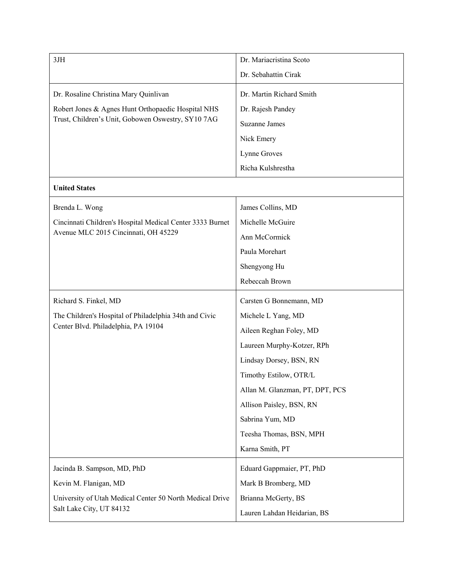| 3JH                                                                                  | Dr. Mariacristina Scoto         |
|--------------------------------------------------------------------------------------|---------------------------------|
|                                                                                      | Dr. Sebahattin Cirak            |
| Dr. Rosaline Christina Mary Quinlivan                                                | Dr. Martin Richard Smith        |
| Robert Jones & Agnes Hunt Orthopaedic Hospital NHS                                   | Dr. Rajesh Pandey               |
| Trust, Children's Unit, Gobowen Oswestry, SY10 7AG                                   | <b>Suzanne James</b>            |
|                                                                                      | Nick Emery                      |
|                                                                                      | Lynne Groves                    |
|                                                                                      | Richa Kulshrestha               |
| <b>United States</b>                                                                 |                                 |
| Brenda L. Wong                                                                       | James Collins, MD               |
| Cincinnati Children's Hospital Medical Center 3333 Burnet                            | Michelle McGuire                |
| Avenue MLC 2015 Cincinnati, OH 45229                                                 | Ann McCormick                   |
|                                                                                      | Paula Morehart                  |
|                                                                                      | Shengyong Hu                    |
|                                                                                      | Rebeccah Brown                  |
| Richard S. Finkel, MD                                                                | Carsten G Bonnemann, MD         |
| The Children's Hospital of Philadelphia 34th and Civic                               | Michele L Yang, MD              |
| Center Blvd. Philadelphia, PA 19104                                                  | Aileen Reghan Foley, MD         |
|                                                                                      | Laureen Murphy-Kotzer, RPh      |
|                                                                                      | Lindsay Dorsey, BSN, RN         |
|                                                                                      | Timothy Estilow, OTR/L          |
|                                                                                      | Allan M. Glanzman, PT, DPT, PCS |
|                                                                                      | Allison Paisley, BSN, RN        |
|                                                                                      | Sabrina Yum, MD                 |
|                                                                                      | Teesha Thomas, BSN, MPH         |
|                                                                                      | Karna Smith, PT                 |
| Jacinda B. Sampson, MD, PhD                                                          | Eduard Gappmaier, PT, PhD       |
| Kevin M. Flanigan, MD                                                                | Mark B Bromberg, MD             |
| University of Utah Medical Center 50 North Medical Drive<br>Salt Lake City, UT 84132 | Brianna McGerty, BS             |
|                                                                                      | Lauren Lahdan Heidarian, BS     |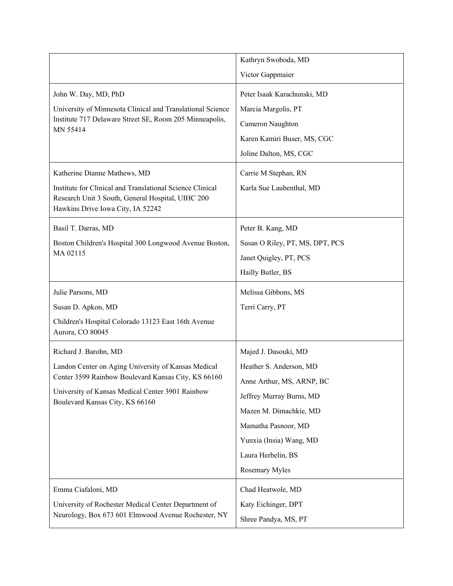|                                                                                                                                                     | Kathryn Swoboda, MD             |
|-----------------------------------------------------------------------------------------------------------------------------------------------------|---------------------------------|
|                                                                                                                                                     | Victor Gappmaier                |
| John W. Day, MD, PhD                                                                                                                                | Peter Isaak Karachunski, MD     |
| University of Minnesota Clinical and Translational Science                                                                                          | Marcia Margolis, PT             |
| Institute 717 Delaware Street SE, Room 205 Minneapolis,<br>MN 55414                                                                                 | Cameron Naughton                |
|                                                                                                                                                     | Karen Kamiri Buser, MS, CGC     |
|                                                                                                                                                     | Joline Dalton, MS, CGC          |
| Katherine Dianne Mathews, MD                                                                                                                        | Carrie M Stephan, RN            |
| Institute for Clinical and Translational Science Clinical<br>Research Unit 3 South, General Hospital, UIHC 200<br>Hawkins Drive Iowa City, IA 52242 | Karla Sue Laubenthal, MD        |
| Basil T. Darras, MD                                                                                                                                 | Peter B. Kang, MD               |
| Boston Children's Hospital 300 Longwood Avenue Boston,                                                                                              | Susan O Riley, PT, MS, DPT, PCS |
| MA 02115                                                                                                                                            | Janet Quigley, PT, PCS          |
|                                                                                                                                                     | Hailly Butler, BS               |
| Julie Parsons, MD                                                                                                                                   | Melissa Gibbons, MS             |
| Susan D. Apkon, MD                                                                                                                                  | Terri Carry, PT                 |
| Children's Hospital Colorado 13123 East 16th Avenue<br>Aurora, CO 80045                                                                             |                                 |
| Richard J. Barohn, MD                                                                                                                               | Majed J. Dasouki, MD            |
| Landon Center on Aging University of Kansas Medical                                                                                                 | Heather S. Anderson, MD         |
| Center 3599 Rainbow Boulevard Kansas City, KS 66160<br>University of Kansas Medical Center 3901 Rainbow<br>Boulevard Kansas City, KS 66160          | Anne Arthur, MS, ARNP, BC       |
|                                                                                                                                                     | Jeffrey Murray Burns, MD        |
|                                                                                                                                                     | Mazen M. Dimachkie, MD          |
|                                                                                                                                                     | Mamatha Pasnoor, MD             |
|                                                                                                                                                     | Yunxia (Insia) Wang, MD         |
|                                                                                                                                                     | Laura Herbelin, BS              |
|                                                                                                                                                     | Rosemary Myles                  |
| Emma Ciafaloni, MD                                                                                                                                  | Chad Heatwole, MD               |
| University of Rochester Medical Center Department of<br>Neurology, Box 673 601 Elmwood Avenue Rochester, NY                                         | Katy Eichinger, DPT             |
|                                                                                                                                                     | Shree Pandya, MS, PT            |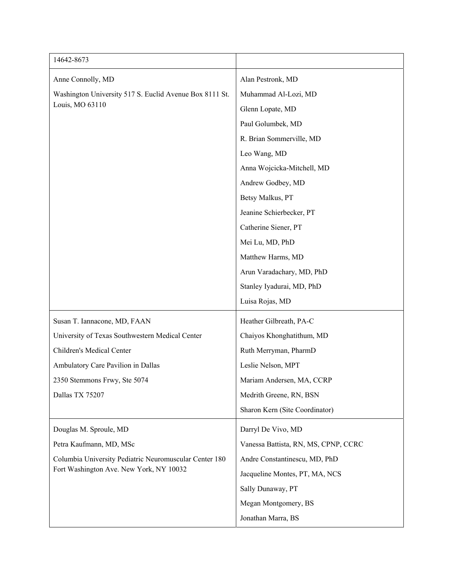| 14642-8673                                                                                        |                                      |
|---------------------------------------------------------------------------------------------------|--------------------------------------|
| Anne Connolly, MD                                                                                 | Alan Pestronk, MD                    |
| Washington University 517 S. Euclid Avenue Box 8111 St.                                           | Muhammad Al-Lozi, MD                 |
| Louis, MO 63110                                                                                   | Glenn Lopate, MD                     |
|                                                                                                   | Paul Golumbek, MD                    |
|                                                                                                   | R. Brian Sommerville, MD             |
|                                                                                                   | Leo Wang, MD                         |
|                                                                                                   | Anna Wojcicka-Mitchell, MD           |
|                                                                                                   | Andrew Godbey, MD                    |
|                                                                                                   | Betsy Malkus, PT                     |
|                                                                                                   | Jeanine Schierbecker, PT             |
|                                                                                                   | Catherine Siener, PT                 |
|                                                                                                   | Mei Lu, MD, PhD                      |
|                                                                                                   | Matthew Harms, MD                    |
|                                                                                                   | Arun Varadachary, MD, PhD            |
|                                                                                                   | Stanley Iyadurai, MD, PhD            |
|                                                                                                   | Luisa Rojas, MD                      |
| Susan T. Iannacone, MD, FAAN                                                                      | Heather Gilbreath, PA-C              |
| University of Texas Southwestern Medical Center                                                   | Chaiyos Khonghatithum, MD            |
| Children's Medical Center                                                                         | Ruth Merryman, PharmD                |
| Ambulatory Care Pavilion in Dallas                                                                | Leslie Nelson, MPT                   |
| 2350 Stemmons Frwy, Ste 5074                                                                      | Mariam Andersen, MA, CCRP            |
| Dallas TX 75207                                                                                   | Medrith Greene, RN, BSN              |
|                                                                                                   | Sharon Kern (Site Coordinator)       |
| Douglas M. Sproule, MD                                                                            | Darryl De Vivo, MD                   |
| Petra Kaufmann, MD, MSc                                                                           | Vanessa Battista, RN, MS, CPNP, CCRC |
| Columbia University Pediatric Neuromuscular Center 180<br>Fort Washington Ave. New York, NY 10032 | Andre Constantinescu, MD, PhD        |
|                                                                                                   | Jacqueline Montes, PT, MA, NCS       |
|                                                                                                   | Sally Dunaway, PT                    |
|                                                                                                   | Megan Montgomery, BS                 |
|                                                                                                   | Jonathan Marra, BS                   |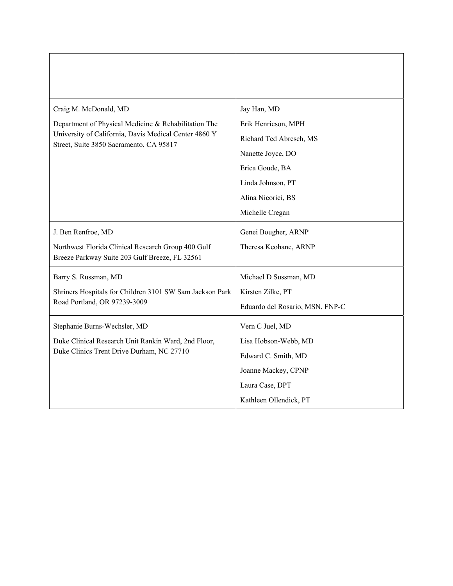| Craig M. McDonald, MD<br>Department of Physical Medicine & Rehabilitation The<br>University of California, Davis Medical Center 4860 Y<br>Street, Suite 3850 Sacramento, CA 95817 | Jay Han, MD<br>Erik Henricson, MPH<br>Richard Ted Abresch, MS<br>Nanette Joyce, DO<br>Erica Goude, BA<br>Linda Johnson, PT<br>Alina Nicorici, BS<br>Michelle Cregan |
|-----------------------------------------------------------------------------------------------------------------------------------------------------------------------------------|---------------------------------------------------------------------------------------------------------------------------------------------------------------------|
| J. Ben Renfroe, MD<br>Northwest Florida Clinical Research Group 400 Gulf<br>Breeze Parkway Suite 203 Gulf Breeze, FL 32561                                                        | Genei Bougher, ARNP<br>Theresa Keohane, ARNP                                                                                                                        |
| Barry S. Russman, MD<br>Shriners Hospitals for Children 3101 SW Sam Jackson Park<br>Road Portland, OR 97239-3009                                                                  | Michael D Sussman, MD<br>Kirsten Zilke, PT<br>Eduardo del Rosario, MSN, FNP-C                                                                                       |
| Stephanie Burns-Wechsler, MD<br>Duke Clinical Research Unit Rankin Ward, 2nd Floor,<br>Duke Clinics Trent Drive Durham, NC 27710                                                  | Vern C Juel, MD<br>Lisa Hobson-Webb, MD<br>Edward C. Smith, MD<br>Joanne Mackey, CPNP<br>Laura Case, DPT<br>Kathleen Ollendick, PT                                  |